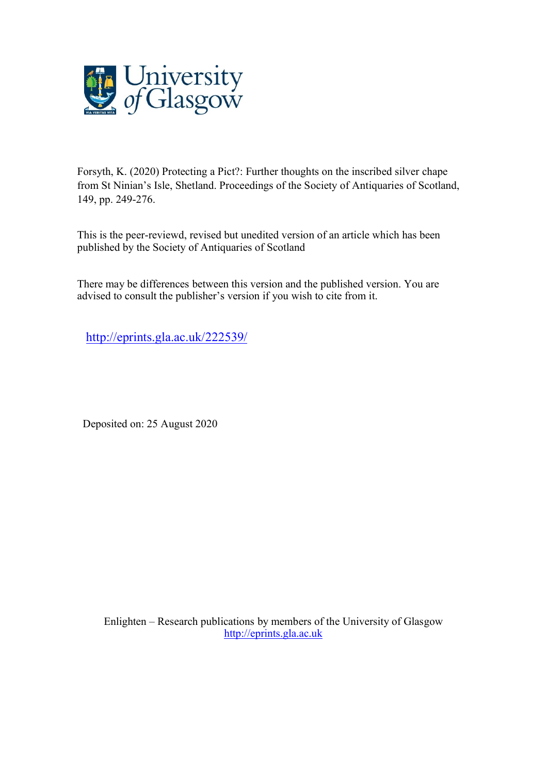

Forsyth, K. (2020) Protecting a Pict?: Further thoughts on the inscribed silver chape from St Ninian's Isle, Shetland. Proceedings of the Society of Antiquaries of Scotland, 149, pp. 249-276.

This is the peer-reviewd, revised but unedited version of an article which has been published by the Society of Antiquaries of Scotland

There may be differences between this version and the published version. You are advised to consult the publisher's version if you wish to cite from it.

<http://eprints.gla.ac.uk/222539/>

Deposited on: 25 August 2020

Enlighten – Research publications by members of the University of Glasgow [http://eprints.gla.ac.uk](http://eprints.gla.ac.uk/)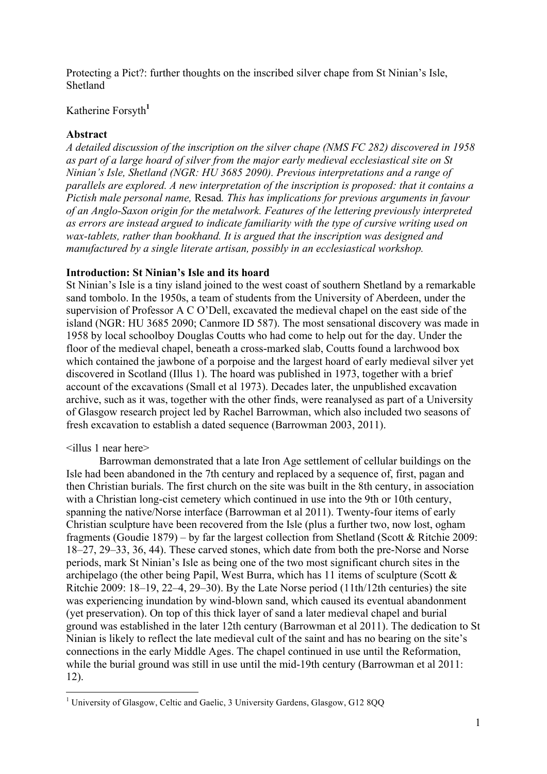Protecting a Pict?: further thoughts on the inscribed silver chape from St Ninian's Isle, Shetland

# Katherine Forsyth**<sup>1</sup>**

## **Abstract**

*A detailed discussion of the inscription on the silver chape (NMS FC 282) discovered in 1958 as part of a large hoard of silver from the major early medieval ecclesiastical site on St Ninian's Isle, Shetland (NGR: HU 3685 2090). Previous interpretations and a range of parallels are explored. A new interpretation of the inscription is proposed: that it contains a Pictish male personal name,* Resad*. This has implications for previous arguments in favour of an Anglo-Saxon origin for the metalwork. Features of the lettering previously interpreted as errors are instead argued to indicate familiarity with the type of cursive writing used on wax-tablets, rather than bookhand. It is argued that the inscription was designed and manufactured by a single literate artisan, possibly in an ecclesiastical workshop.*

## **Introduction: St Ninian's Isle and its hoard**

St Ninian's Isle is a tiny island joined to the west coast of southern Shetland by a remarkable sand tombolo. In the 1950s, a team of students from the University of Aberdeen, under the supervision of Professor A C O'Dell, excavated the medieval chapel on the east side of the island (NGR: HU 3685 2090; Canmore ID 587). The most sensational discovery was made in 1958 by local schoolboy Douglas Coutts who had come to help out for the day. Under the floor of the medieval chapel, beneath a cross-marked slab, Coutts found a larchwood box which contained the jawbone of a porpoise and the largest hoard of early medieval silver yet discovered in Scotland (Illus 1). The hoard was published in 1973, together with a brief account of the excavations (Small et al 1973). Decades later, the unpublished excavation archive, such as it was, together with the other finds, were reanalysed as part of a University of Glasgow research project led by Rachel Barrowman, which also included two seasons of fresh excavation to establish a dated sequence (Barrowman 2003, 2011).

### <illus 1 near here>

Barrowman demonstrated that a late Iron Age settlement of cellular buildings on the Isle had been abandoned in the 7th century and replaced by a sequence of, first, pagan and then Christian burials. The first church on the site was built in the 8th century, in association with a Christian long-cist cemetery which continued in use into the 9th or 10th century, spanning the native/Norse interface (Barrowman et al 2011). Twenty-four items of early Christian sculpture have been recovered from the Isle (plus a further two, now lost, ogham fragments (Goudie 1879) – by far the largest collection from Shetland (Scott & Ritchie 2009: 18–27, 29–33, 36, 44). These carved stones, which date from both the pre-Norse and Norse periods, mark St Ninian's Isle as being one of the two most significant church sites in the archipelago (the other being Papil, West Burra, which has 11 items of sculpture (Scott  $\&$ Ritchie 2009: 18–19, 22–4, 29–30). By the Late Norse period (11th/12th centuries) the site was experiencing inundation by wind-blown sand, which caused its eventual abandonment (yet preservation). On top of this thick layer of sand a later medieval chapel and burial ground was established in the later 12th century (Barrowman et al 2011). The dedication to St Ninian is likely to reflect the late medieval cult of the saint and has no bearing on the site's connections in the early Middle Ages. The chapel continued in use until the Reformation, while the burial ground was still in use until the mid-19th century (Barrowman et al 2011: 12).

<sup>&</sup>lt;sup>1</sup> University of Glasgow, Celtic and Gaelic, 3 University Gardens, Glasgow, G12 8OO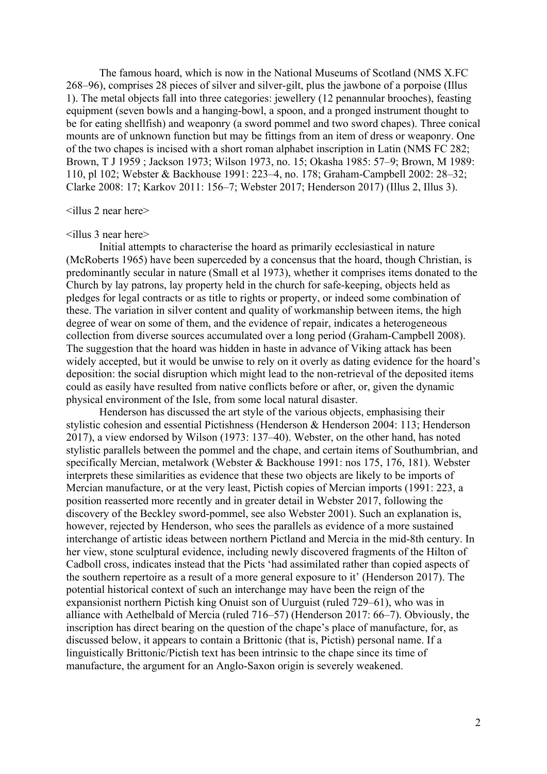The famous hoard, which is now in the National Museums of Scotland (NMS X.FC 268–96), comprises 28 pieces of silver and silver-gilt, plus the jawbone of a porpoise (Illus 1). The metal objects fall into three categories: jewellery (12 penannular brooches), feasting equipment (seven bowls and a hanging-bowl, a spoon, and a pronged instrument thought to be for eating shellfish) and weaponry (a sword pommel and two sword chapes). Three conical mounts are of unknown function but may be fittings from an item of dress or weaponry. One of the two chapes is incised with a short roman alphabet inscription in Latin (NMS FC 282; Brown, T J 1959 ; Jackson 1973; Wilson 1973, no. 15; Okasha 1985: 57–9; Brown, M 1989: 110, pl 102; Webster & Backhouse 1991: 223–4, no. 178; Graham-Campbell 2002: 28–32; Clarke 2008: 17; Karkov 2011: 156–7; Webster 2017; Henderson 2017) (Illus 2, Illus 3).

## <illus 2 near here>

#### $\le$ illus 3 near here $>$

Initial attempts to characterise the hoard as primarily ecclesiastical in nature (McRoberts 1965) have been superceded by a concensus that the hoard, though Christian, is predominantly secular in nature (Small et al 1973), whether it comprises items donated to the Church by lay patrons, lay property held in the church for safe-keeping, objects held as pledges for legal contracts or as title to rights or property, or indeed some combination of these. The variation in silver content and quality of workmanship between items, the high degree of wear on some of them, and the evidence of repair, indicates a heterogeneous collection from diverse sources accumulated over a long period (Graham-Campbell 2008). The suggestion that the hoard was hidden in haste in advance of Viking attack has been widely accepted, but it would be unwise to rely on it overly as dating evidence for the hoard's deposition: the social disruption which might lead to the non-retrieval of the deposited items could as easily have resulted from native conflicts before or after, or, given the dynamic physical environment of the Isle, from some local natural disaster.

Henderson has discussed the art style of the various objects, emphasising their stylistic cohesion and essential Pictishness (Henderson & Henderson 2004: 113; Henderson 2017), a view endorsed by Wilson (1973: 137–40). Webster, on the other hand, has noted stylistic parallels between the pommel and the chape, and certain items of Southumbrian, and specifically Mercian, metalwork (Webster & Backhouse 1991: nos 175, 176, 181). Webster interprets these similarities as evidence that these two objects are likely to be imports of Mercian manufacture, or at the very least, Pictish copies of Mercian imports (1991: 223, a position reasserted more recently and in greater detail in Webster 2017, following the discovery of the Beckley sword-pommel, see also Webster 2001). Such an explanation is, however, rejected by Henderson, who sees the parallels as evidence of a more sustained interchange of artistic ideas between northern Pictland and Mercia in the mid-8th century. In her view, stone sculptural evidence, including newly discovered fragments of the Hilton of Cadboll cross, indicates instead that the Picts 'had assimilated rather than copied aspects of the southern repertoire as a result of a more general exposure to it' (Henderson 2017). The potential historical context of such an interchange may have been the reign of the expansionist northern Pictish king Onuist son of Uurguist (ruled 729–61), who was in alliance with Aethelbald of Mercia (ruled 716–57) (Henderson 2017: 66–7). Obviously, the inscription has direct bearing on the question of the chape's place of manufacture, for, as discussed below, it appears to contain a Brittonic (that is, Pictish) personal name. If a linguistically Brittonic/Pictish text has been intrinsic to the chape since its time of manufacture, the argument for an Anglo-Saxon origin is severely weakened.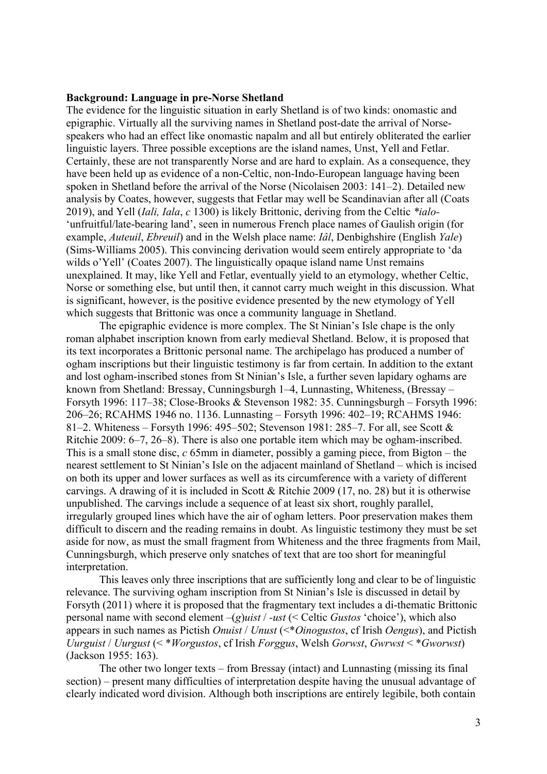#### **Background: Language in pre-Norse Shetland**

The evidence for the linguistic situation in early Shetland is of two kinds: onomastic and epigraphic. Virtually all the surviving names in Shetland post-date the arrival of Norsespeakers who had an effect like onomastic napalm and all but entirely obliterated the earlier linguistic layers. Three possible exceptions are the island names, Unst, Yell and Fetlar. Certainly, these are not transparently Norse and are hard to explain. As a consequence, they have been held up as evidence of a non-Celtic, non-Indo-European language having been spoken in Shetland before the arrival of the Norse (Nicolaisen 2003: 141–2). Detailed new analysis by Coates, however, suggests that Fetlar may well be Scandinavian after all (Coats 2019), and Yell (*Iali, Iala*, *c* 1300) is likely Brittonic, deriving from the Celtic *\*ialo-* 'unfruitful/late-bearing land', seen in numerous French place names of Gaulish origin (for example, *Auteuil*, *Ebreuil*) and in the Welsh place name: *Iâl*, Denbighshire (English *Yale*) (Sims-Williams 2005). This convincing derivation would seem entirely appropriate to 'da wilds o'Yell' (Coates 2007). The linguistically opaque island name Unst remains unexplained. It may, like Yell and Fetlar, eventually yield to an etymology, whether Celtic, Norse or something else, but until then, it cannot carry much weight in this discussion. What is significant, however, is the positive evidence presented by the new etymology of Yell which suggests that Brittonic was once a community language in Shetland.

The epigraphic evidence is more complex. The St Ninian's Isle chape is the only roman alphabet inscription known from early medieval Shetland. Below, it is proposed that its text incorporates a Brittonic personal name. The archipelago has produced a number of ogham inscriptions but their linguistic testimony is far from certain. In addition to the extant and lost ogham-inscribed stones from St Ninian's Isle, a further seven lapidary oghams are known from Shetland: Bressay, Cunningsburgh 1–4, Lunnasting, Whiteness, (Bressay – Forsyth 1996: 117–38; Close-Brooks & Stevenson 1982: 35. Cunningsburgh – Forsyth 1996: 206–26; RCAHMS 1946 no. 1136. Lunnasting – Forsyth 1996: 402–19; RCAHMS 1946: 81–2. Whiteness – Forsyth 1996: 495–502; Stevenson 1981: 285–7. For all, see Scott & Ritchie 2009: 6–7, 26–8). There is also one portable item which may be ogham-inscribed. This is a small stone disc, *c* 65mm in diameter, possibly a gaming piece, from Bigton – the nearest settlement to St Ninian's Isle on the adjacent mainland of Shetland – which is incised on both its upper and lower surfaces as well as its circumference with a variety of different carvings. A drawing of it is included in Scott & Ritchie 2009 (17, no. 28) but it is otherwise unpublished. The carvings include a sequence of at least six short, roughly parallel, irregularly grouped lines which have the air of ogham letters. Poor preservation makes them difficult to discern and the reading remains in doubt. As linguistic testimony they must be set aside for now, as must the small fragment from Whiteness and the three fragments from Mail, Cunningsburgh, which preserve only snatches of text that are too short for meaningful interpretation.

This leaves only three inscriptions that are sufficiently long and clear to be of linguistic relevance. The surviving ogham inscription from St Ninian's Isle is discussed in detail by Forsyth (2011) where it is proposed that the fragmentary text includes a di-thematic Brittonic personal name with second element –(*g*)*uist* / *-ust* (< Celtic *Gustos* 'choice'), which also appears in such names as Pictish *Onuist* / *Unust* (<\**Oinogustos*, cf Irish *Oengus*), and Pictish *Uurguist* / *Uurgust* (< \**Worgustos*, cf Irish *Forggus*, Welsh *Gorwst*, *Gwrwst* < \**Gworwst*) (Jackson 1955: 163).

The other two longer texts – from Bressay (intact) and Lunnasting (missing its final section) – present many difficulties of interpretation despite having the unusual advantage of clearly indicated word division. Although both inscriptions are entirely legibile, both contain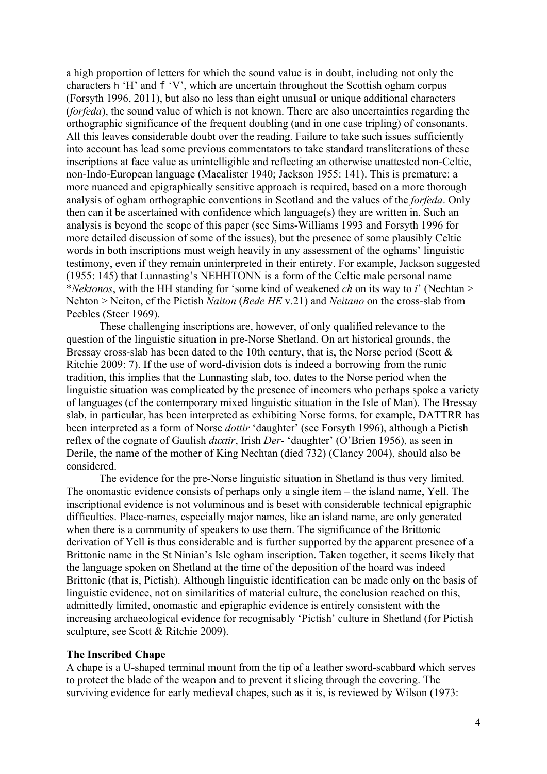a high proportion of letters for which the sound value is in doubt, including not only the characters h 'H' and f 'V', which are uncertain throughout the Scottish ogham corpus (Forsyth 1996, 2011), but also no less than eight unusual or unique additional characters (*forfeda*), the sound value of which is not known. There are also uncertainties regarding the orthographic significance of the frequent doubling (and in one case tripling) of consonants. All this leaves considerable doubt over the reading. Failure to take such issues sufficiently into account has lead some previous commentators to take standard transliterations of these inscriptions at face value as unintelligible and reflecting an otherwise unattested non-Celtic, non-Indo-European language (Macalister 1940; Jackson 1955: 141). This is premature: a more nuanced and epigraphically sensitive approach is required, based on a more thorough analysis of ogham orthographic conventions in Scotland and the values of the *forfeda*. Only then can it be ascertained with confidence which language(s) they are written in. Such an analysis is beyond the scope of this paper (see Sims-Williams 1993 and Forsyth 1996 for more detailed discussion of some of the issues), but the presence of some plausibly Celtic words in both inscriptions must weigh heavily in any assessment of the oghams' linguistic testimony, even if they remain uninterpreted in their entirety. For example, Jackson suggested (1955: 145) that Lunnasting's NEHHTONN is a form of the Celtic male personal name \**Nektonos*, with the HH standing for 'some kind of weakened *ch* on its way to *i*' (Nechtan > Nehton > Neiton, cf the Pictish *Naiton* (*Bede HE* v.21) and *Neitano* on the cross-slab from Peebles (Steer 1969).

These challenging inscriptions are, however, of only qualified relevance to the question of the linguistic situation in pre-Norse Shetland. On art historical grounds, the Bressay cross-slab has been dated to the 10th century, that is, the Norse period (Scott & Ritchie 2009: 7). If the use of word-division dots is indeed a borrowing from the runic tradition, this implies that the Lunnasting slab, too, dates to the Norse period when the linguistic situation was complicated by the presence of incomers who perhaps spoke a variety of languages (cf the contemporary mixed linguistic situation in the Isle of Man). The Bressay slab, in particular, has been interpreted as exhibiting Norse forms, for example, DATTRR has been interpreted as a form of Norse *dottir* 'daughter' (see Forsyth 1996), although a Pictish reflex of the cognate of Gaulish *duxtir*, Irish *Der-* 'daughter' (O'Brien 1956), as seen in Derile, the name of the mother of King Nechtan (died 732) (Clancy 2004), should also be considered.

The evidence for the pre-Norse linguistic situation in Shetland is thus very limited. The onomastic evidence consists of perhaps only a single item – the island name, Yell. The inscriptional evidence is not voluminous and is beset with considerable technical epigraphic difficulties. Place-names, especially major names, like an island name, are only generated when there is a community of speakers to use them. The significance of the Brittonic derivation of Yell is thus considerable and is further supported by the apparent presence of a Brittonic name in the St Ninian's Isle ogham inscription. Taken together, it seems likely that the language spoken on Shetland at the time of the deposition of the hoard was indeed Brittonic (that is, Pictish). Although linguistic identification can be made only on the basis of linguistic evidence, not on similarities of material culture, the conclusion reached on this, admittedly limited, onomastic and epigraphic evidence is entirely consistent with the increasing archaeological evidence for recognisably 'Pictish' culture in Shetland (for Pictish sculpture, see Scott & Ritchie 2009).

## **The Inscribed Chape**

A chape is a U-shaped terminal mount from the tip of a leather sword-scabbard which serves to protect the blade of the weapon and to prevent it slicing through the covering. The surviving evidence for early medieval chapes, such as it is, is reviewed by Wilson (1973: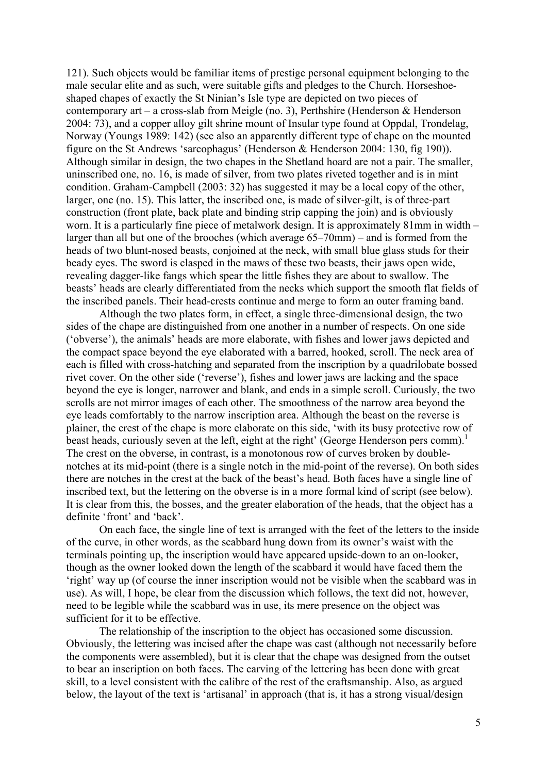121). Such objects would be familiar items of prestige personal equipment belonging to the male secular elite and as such, were suitable gifts and pledges to the Church. Horseshoeshaped chapes of exactly the St Ninian's Isle type are depicted on two pieces of contemporary art – a cross-slab from Meigle (no. 3), Perthshire (Henderson & Henderson 2004: 73), and a copper alloy gilt shrine mount of Insular type found at Oppdal, Trondelag, Norway (Youngs 1989: 142) (see also an apparently different type of chape on the mounted figure on the St Andrews 'sarcophagus' (Henderson & Henderson 2004: 130, fig 190)). Although similar in design, the two chapes in the Shetland hoard are not a pair. The smaller, uninscribed one, no. 16, is made of silver, from two plates riveted together and is in mint condition. Graham-Campbell (2003: 32) has suggested it may be a local copy of the other, larger, one (no. 15). This latter, the inscribed one, is made of silver-gilt, is of three-part construction (front plate, back plate and binding strip capping the join) and is obviously worn. It is a particularly fine piece of metalwork design. It is approximately 81mm in width – larger than all but one of the brooches (which average 65–70mm) – and is formed from the heads of two blunt-nosed beasts, conjoined at the neck, with small blue glass studs for their beady eyes. The sword is clasped in the maws of these two beasts, their jaws open wide, revealing dagger-like fangs which spear the little fishes they are about to swallow. The beasts' heads are clearly differentiated from the necks which support the smooth flat fields of the inscribed panels. Their head-crests continue and merge to form an outer framing band.

Although the two plates form, in effect, a single three-dimensional design, the two sides of the chape are distinguished from one another in a number of respects. On one side ('obverse'), the animals' heads are more elaborate, with fishes and lower jaws depicted and the compact space beyond the eye elaborated with a barred, hooked, scroll. The neck area of each is filled with cross-hatching and separated from the inscription by a quadrilobate bossed rivet cover. On the other side ('reverse'), fishes and lower jaws are lacking and the space beyond the eye is longer, narrower and blank, and ends in a simple scroll. Curiously, the two scrolls are not mirror images of each other. The smoothness of the narrow area beyond the eye leads comfortably to the narrow inscription area. Although the beast on the reverse is plainer, the crest of the chape is more elaborate on this side, 'with its busy protective row of beast heads, curiously seven at the left, eight at the right' (George Henderson pers comm).<sup>1</sup> The crest on the obverse, in contrast, is a monotonous row of curves broken by doublenotches at its mid-point (there is a single notch in the mid-point of the reverse). On both sides there are notches in the crest at the back of the beast's head. Both faces have a single line of inscribed text, but the lettering on the obverse is in a more formal kind of script (see below). It is clear from this, the bosses, and the greater elaboration of the heads, that the object has a definite 'front' and 'back'.

On each face, the single line of text is arranged with the feet of the letters to the inside of the curve, in other words, as the scabbard hung down from its owner's waist with the terminals pointing up, the inscription would have appeared upside-down to an on-looker, though as the owner looked down the length of the scabbard it would have faced them the 'right' way up (of course the inner inscription would not be visible when the scabbard was in use). As will, I hope, be clear from the discussion which follows, the text did not, however, need to be legible while the scabbard was in use, its mere presence on the object was sufficient for it to be effective.

The relationship of the inscription to the object has occasioned some discussion. Obviously, the lettering was incised after the chape was cast (although not necessarily before the components were assembled), but it is clear that the chape was designed from the outset to bear an inscription on both faces. The carving of the lettering has been done with great skill, to a level consistent with the calibre of the rest of the craftsmanship. Also, as argued below, the layout of the text is 'artisanal' in approach (that is, it has a strong visual/design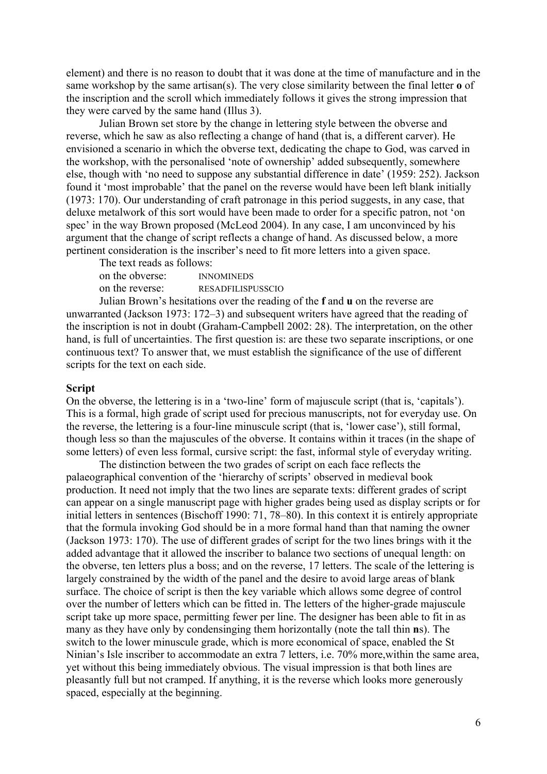element) and there is no reason to doubt that it was done at the time of manufacture and in the same workshop by the same artisan(s). The very close similarity between the final letter **o** of the inscription and the scroll which immediately follows it gives the strong impression that they were carved by the same hand (Illus 3).

Julian Brown set store by the change in lettering style between the obverse and reverse, which he saw as also reflecting a change of hand (that is, a different carver). He envisioned a scenario in which the obverse text, dedicating the chape to God, was carved in the workshop, with the personalised 'note of ownership' added subsequently, somewhere else, though with 'no need to suppose any substantial difference in date' (1959: 252). Jackson found it 'most improbable' that the panel on the reverse would have been left blank initially (1973: 170). Our understanding of craft patronage in this period suggests, in any case, that deluxe metalwork of this sort would have been made to order for a specific patron, not 'on spec' in the way Brown proposed (McLeod 2004). In any case, I am unconvinced by his argument that the change of script reflects a change of hand. As discussed below, a more pertinent consideration is the inscriber's need to fit more letters into a given space.

The text reads as follows: on the obverse: INNOMINEDS

on the reverse: RESADFILISPUSSCIO

Julian Brown's hesitations over the reading of the **f** and **u** on the reverse are unwarranted (Jackson 1973: 172–3) and subsequent writers have agreed that the reading of the inscription is not in doubt (Graham-Campbell 2002: 28). The interpretation, on the other hand, is full of uncertainties. The first question is: are these two separate inscriptions, or one continuous text? To answer that, we must establish the significance of the use of different scripts for the text on each side.

## **Script**

On the obverse, the lettering is in a 'two-line' form of majuscule script (that is, 'capitals'). This is a formal, high grade of script used for precious manuscripts, not for everyday use. On the reverse, the lettering is a four-line minuscule script (that is, 'lower case'), still formal, though less so than the majuscules of the obverse. It contains within it traces (in the shape of some letters) of even less formal, cursive script: the fast, informal style of everyday writing.

The distinction between the two grades of script on each face reflects the palaeographical convention of the 'hierarchy of scripts' observed in medieval book production. It need not imply that the two lines are separate texts: different grades of script can appear on a single manuscript page with higher grades being used as display scripts or for initial letters in sentences (Bischoff 1990: 71, 78–80). In this context it is entirely appropriate that the formula invoking God should be in a more formal hand than that naming the owner (Jackson 1973: 170). The use of different grades of script for the two lines brings with it the added advantage that it allowed the inscriber to balance two sections of unequal length: on the obverse, ten letters plus a boss; and on the reverse, 17 letters. The scale of the lettering is largely constrained by the width of the panel and the desire to avoid large areas of blank surface. The choice of script is then the key variable which allows some degree of control over the number of letters which can be fitted in. The letters of the higher-grade majuscule script take up more space, permitting fewer per line. The designer has been able to fit in as many as they have only by condensinging them horizontally (note the tall thin **n**s). The switch to the lower minuscule grade, which is more economical of space, enabled the St Ninian's Isle inscriber to accommodate an extra 7 letters, i.e. 70% more,within the same area, yet without this being immediately obvious. The visual impression is that both lines are pleasantly full but not cramped. If anything, it is the reverse which looks more generously spaced, especially at the beginning.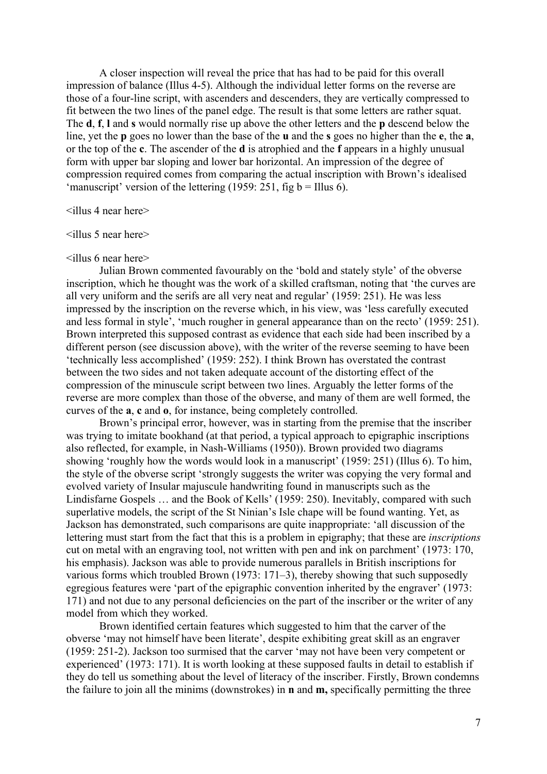A closer inspection will reveal the price that has had to be paid for this overall impression of balance (Illus 4-5). Although the individual letter forms on the reverse are those of a four-line script, with ascenders and descenders, they are vertically compressed to fit between the two lines of the panel edge. The result is that some letters are rather squat. The **d**, **f**, **l** and **s** would normally rise up above the other letters and the **p** descend below the line, yet the **p** goes no lower than the base of the **u** and the **s** goes no higher than the **e**, the **a**, or the top of the **c**. The ascender of the **d** is atrophied and the **f** appears in a highly unusual form with upper bar sloping and lower bar horizontal. An impression of the degree of compression required comes from comparing the actual inscription with Brown's idealised 'manuscript' version of the lettering (1959: 251, fig  $b = I$ Illus 6).

<illus 4 near here>

 $\le$ illus 5 near here $>$ 

#### <illus 6 near here>

Julian Brown commented favourably on the 'bold and stately style' of the obverse inscription, which he thought was the work of a skilled craftsman, noting that 'the curves are all very uniform and the serifs are all very neat and regular' (1959: 251). He was less impressed by the inscription on the reverse which, in his view, was 'less carefully executed and less formal in style', 'much rougher in general appearance than on the recto' (1959: 251). Brown interpreted this supposed contrast as evidence that each side had been inscribed by a different person (see discussion above), with the writer of the reverse seeming to have been 'technically less accomplished' (1959: 252). I think Brown has overstated the contrast between the two sides and not taken adequate account of the distorting effect of the compression of the minuscule script between two lines. Arguably the letter forms of the reverse are more complex than those of the obverse, and many of them are well formed, the curves of the **a**, **c** and **o**, for instance, being completely controlled.

Brown's principal error, however, was in starting from the premise that the inscriber was trying to imitate bookhand (at that period, a typical approach to epigraphic inscriptions also reflected, for example, in Nash-Williams (1950)). Brown provided two diagrams showing 'roughly how the words would look in a manuscript' (1959: 251) (Illus 6). To him, the style of the obverse script 'strongly suggests the writer was copying the very formal and evolved variety of Insular majuscule handwriting found in manuscripts such as the Lindisfarne Gospels … and the Book of Kells' (1959: 250). Inevitably, compared with such superlative models, the script of the St Ninian's Isle chape will be found wanting. Yet, as Jackson has demonstrated, such comparisons are quite inappropriate: 'all discussion of the lettering must start from the fact that this is a problem in epigraphy; that these are *inscriptions* cut on metal with an engraving tool, not written with pen and ink on parchment' (1973: 170, his emphasis). Jackson was able to provide numerous parallels in British inscriptions for various forms which troubled Brown (1973: 171–3), thereby showing that such supposedly egregious features were 'part of the epigraphic convention inherited by the engraver' (1973: 171) and not due to any personal deficiencies on the part of the inscriber or the writer of any model from which they worked.

Brown identified certain features which suggested to him that the carver of the obverse 'may not himself have been literate', despite exhibiting great skill as an engraver (1959: 251-2). Jackson too surmised that the carver 'may not have been very competent or experienced' (1973: 171). It is worth looking at these supposed faults in detail to establish if they do tell us something about the level of literacy of the inscriber. Firstly, Brown condemns the failure to join all the minims (downstrokes) in **n** and **m,** specifically permitting the three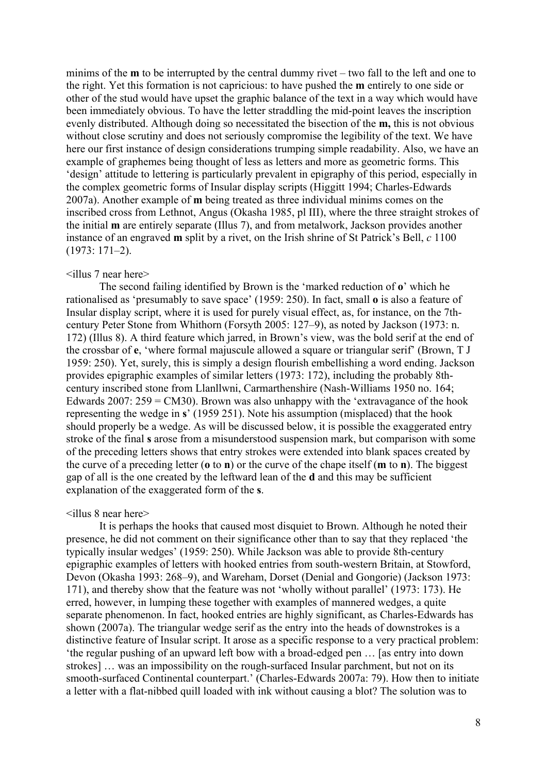minims of the **m** to be interrupted by the central dummy rivet – two fall to the left and one to the right. Yet this formation is not capricious: to have pushed the **m** entirely to one side or other of the stud would have upset the graphic balance of the text in a way which would have been immediately obvious. To have the letter straddling the mid-point leaves the inscription evenly distributed. Although doing so necessitated the bisection of the **m,** this is not obvious without close scrutiny and does not seriously compromise the legibility of the text. We have here our first instance of design considerations trumping simple readability. Also, we have an example of graphemes being thought of less as letters and more as geometric forms. This 'design' attitude to lettering is particularly prevalent in epigraphy of this period, especially in the complex geometric forms of Insular display scripts (Higgitt 1994; Charles-Edwards 2007a). Another example of **m** being treated as three individual minims comes on the inscribed cross from Lethnot, Angus (Okasha 1985, pl III), where the three straight strokes of the initial **m** are entirely separate (Illus 7), and from metalwork, Jackson provides another instance of an engraved **m** split by a rivet, on the Irish shrine of St Patrick's Bell, *c* 1100 (1973: 171–2).

### <illus 7 near here>

The second failing identified by Brown is the 'marked reduction of **o**' which he rationalised as 'presumably to save space' (1959: 250). In fact, small **o** is also a feature of Insular display script, where it is used for purely visual effect, as, for instance, on the 7thcentury Peter Stone from Whithorn (Forsyth 2005: 127–9), as noted by Jackson (1973: n. 172) (Illus 8). A third feature which jarred, in Brown's view, was the bold serif at the end of the crossbar of **e**, 'where formal majuscule allowed a square or triangular serif' (Brown, T J 1959: 250). Yet, surely, this is simply a design flourish embellishing a word ending. Jackson provides epigraphic examples of similar letters (1973: 172), including the probably 8thcentury inscribed stone from Llanllwni, Carmarthenshire (Nash-Williams 1950 no. 164; Edwards 2007:  $259 = CM30$ . Brown was also unhappy with the 'extravagance of the hook representing the wedge in **s**' (1959 251). Note his assumption (misplaced) that the hook should properly be a wedge. As will be discussed below, it is possible the exaggerated entry stroke of the final **s** arose from a misunderstood suspension mark, but comparison with some of the preceding letters shows that entry strokes were extended into blank spaces created by the curve of a preceding letter (**o** to **n**) or the curve of the chape itself (**m** to **n**). The biggest gap of all is the one created by the leftward lean of the **d** and this may be sufficient explanation of the exaggerated form of the **s**.

#### <illus 8 near here>

It is perhaps the hooks that caused most disquiet to Brown. Although he noted their presence, he did not comment on their significance other than to say that they replaced 'the typically insular wedges' (1959: 250). While Jackson was able to provide 8th-century epigraphic examples of letters with hooked entries from south-western Britain, at Stowford, Devon (Okasha 1993: 268–9), and Wareham, Dorset (Denial and Gongorie) (Jackson 1973: 171), and thereby show that the feature was not 'wholly without parallel' (1973: 173). He erred, however, in lumping these together with examples of mannered wedges, a quite separate phenomenon. In fact, hooked entries are highly significant, as Charles-Edwards has shown (2007a). The triangular wedge serif as the entry into the heads of downstrokes is a distinctive feature of Insular script. It arose as a specific response to a very practical problem: 'the regular pushing of an upward left bow with a broad-edged pen … [as entry into down strokes] … was an impossibility on the rough-surfaced Insular parchment, but not on its smooth-surfaced Continental counterpart.' (Charles-Edwards 2007a: 79). How then to initiate a letter with a flat-nibbed quill loaded with ink without causing a blot? The solution was to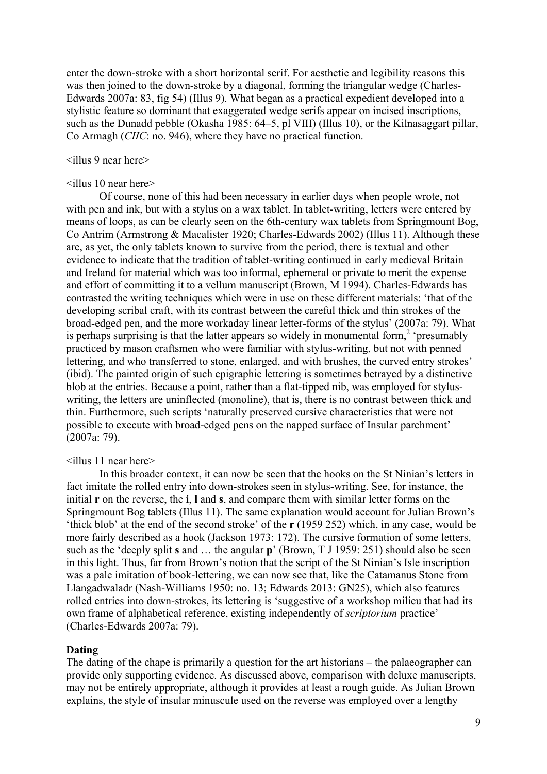enter the down-stroke with a short horizontal serif. For aesthetic and legibility reasons this was then joined to the down-stroke by a diagonal, forming the triangular wedge (Charles-Edwards 2007a: 83, fig 54) (Illus 9). What began as a practical expedient developed into a stylistic feature so dominant that exaggerated wedge serifs appear on incised inscriptions, such as the Dunadd pebble (Okasha 1985: 64–5, pl VIII) (Illus 10), or the Kilnasaggart pillar, Co Armagh (*CIIC*: no. 946), where they have no practical function.

# <illus 9 near here>

#### <illus 10 near here>

Of course, none of this had been necessary in earlier days when people wrote, not with pen and ink, but with a stylus on a wax tablet. In tablet-writing, letters were entered by means of loops, as can be clearly seen on the 6th-century wax tablets from Springmount Bog, Co Antrim (Armstrong & Macalister 1920; Charles-Edwards 2002) (Illus 11). Although these are, as yet, the only tablets known to survive from the period, there is textual and other evidence to indicate that the tradition of tablet-writing continued in early medieval Britain and Ireland for material which was too informal, ephemeral or private to merit the expense and effort of committing it to a vellum manuscript (Brown, M 1994). Charles-Edwards has contrasted the writing techniques which were in use on these different materials: 'that of the developing scribal craft, with its contrast between the careful thick and thin strokes of the broad-edged pen, and the more workaday linear letter-forms of the stylus' (2007a: 79). What is perhaps surprising is that the latter appears so widely in monumental form,<sup>2</sup> 'presumably practiced by mason craftsmen who were familiar with stylus-writing, but not with penned lettering, and who transferred to stone, enlarged, and with brushes, the curved entry strokes' (ibid). The painted origin of such epigraphic lettering is sometimes betrayed by a distinctive blob at the entries. Because a point, rather than a flat-tipped nib, was employed for styluswriting, the letters are uninflected (monoline), that is, there is no contrast between thick and thin. Furthermore, such scripts 'naturally preserved cursive characteristics that were not possible to execute with broad-edged pens on the napped surface of Insular parchment' (2007a: 79).

#### <illus 11 near here>

In this broader context, it can now be seen that the hooks on the St Ninian's letters in fact imitate the rolled entry into down-strokes seen in stylus-writing. See, for instance, the initial **r** on the reverse, the **i**, **l** and **s**, and compare them with similar letter forms on the Springmount Bog tablets (Illus 11). The same explanation would account for Julian Brown's 'thick blob' at the end of the second stroke' of the **r** (1959 252) which, in any case, would be more fairly described as a hook (Jackson 1973: 172). The cursive formation of some letters, such as the 'deeply split **s** and … the angular **p**' (Brown, T J 1959: 251) should also be seen in this light. Thus, far from Brown's notion that the script of the St Ninian's Isle inscription was a pale imitation of book-lettering, we can now see that, like the Catamanus Stone from Llangadwaladr (Nash-Williams 1950: no. 13; Edwards 2013: GN25), which also features rolled entries into down-strokes, its lettering is 'suggestive of a workshop milieu that had its own frame of alphabetical reference, existing independently of *scriptorium* practice' (Charles-Edwards 2007a: 79).

### **Dating**

The dating of the chape is primarily a question for the art historians – the palaeographer can provide only supporting evidence. As discussed above, comparison with deluxe manuscripts, may not be entirely appropriate, although it provides at least a rough guide. As Julian Brown explains, the style of insular minuscule used on the reverse was employed over a lengthy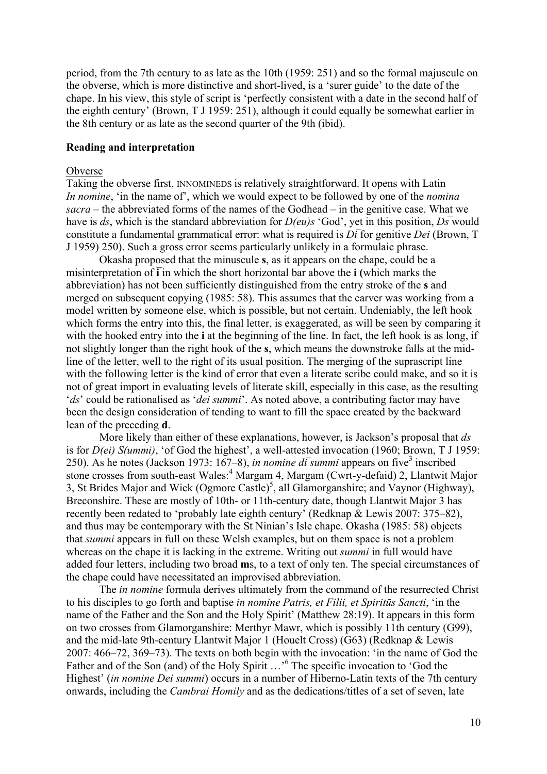period, from the 7th century to as late as the 10th (1959: 251) and so the formal majuscule on the obverse, which is more distinctive and short-lived, is a 'surer guide' to the date of the chape. In his view, this style of script is 'perfectly consistent with a date in the second half of the eighth century' (Brown, T J 1959: 251), although it could equally be somewhat earlier in the 8th century or as late as the second quarter of the 9th (ibid).

## **Reading and interpretation**

## Obverse

Taking the obverse first, INNOMINEDS is relatively straightforward. It opens with Latin *In nomine*, 'in the name of', which we would expect to be followed by one of the *nomina sacra –* the abbreviated forms of the names of the Godhead – in the genitive case. What we have is *ds*, which is the standard abbreviation for *D(eu)s* 'God', yet in this position, *Ds* would constitute a fundamental grammatical error: what is required is  $D\bar{i}$  for genitive *Dei* (Brown, T J 1959) 250). Such a gross error seems particularly unlikely in a formulaic phrase.

Okasha proposed that the minuscule **s**, as it appears on the chape, could be a misinterpretation of  $\overline{\mathbf{i}}$  in which the short horizontal bar above the **i** (which marks the abbreviation) has not been sufficiently distinguished from the entry stroke of the **s** and merged on subsequent copying (1985: 58). This assumes that the carver was working from a model written by someone else, which is possible, but not certain. Undeniably, the left hook which forms the entry into this, the final letter, is exaggerated, as will be seen by comparing it with the hooked entry into the **i** at the beginning of the line. In fact, the left hook is as long, if not slightly longer than the right hook of the **s**, which means the downstroke falls at the midline of the letter, well to the right of its usual position. The merging of the suprascript line with the following letter is the kind of error that even a literate scribe could make, and so it is not of great import in evaluating levels of literate skill, especially in this case, as the resulting '*ds*' could be rationalised as '*dei summi*'. As noted above, a contributing factor may have been the design consideration of tending to want to fill the space created by the backward lean of the preceding **d**.

More likely than either of these explanations, however, is Jackson's proposal that *ds*  is for *D(ei) S(ummi)*, 'of God the highest', a well-attested invocation (1960; Brown, T J 1959: 250). As he notes (Jackson 1973: 167–8), *in nomine di summi* appears on five<sup>3</sup> inscribed stone crosses from south-east Wales:<sup>4</sup> Margam 4, Margam (Cwrt-y-defaid) 2, Llantwit Major 3, St Brides Major and Wick (Ogmore Castle)<sup>5</sup>, all Glamorganshire; and Vaynor (Highway), Breconshire. These are mostly of 10th- or 11th-century date, though Llantwit Major 3 has recently been redated to 'probably late eighth century' (Redknap & Lewis 2007: 375–82), and thus may be contemporary with the St Ninian's Isle chape. Okasha (1985: 58) objects that *summi* appears in full on these Welsh examples, but on them space is not a problem whereas on the chape it is lacking in the extreme. Writing out *summi* in full would have added four letters, including two broad **m**s, to a text of only ten. The special circumstances of the chape could have necessitated an improvised abbreviation.

The *in nomine* formula derives ultimately from the command of the resurrected Christ to his disciples to go forth and baptise *in nomine Patris, et Filii, et Spiritūs Sancti*, 'in the name of the Father and the Son and the Holy Spirit' (Matthew 28:19). It appears in this form on two crosses from Glamorganshire: Merthyr Mawr, which is possibly 11th century (G99), and the mid-late 9th-century Llantwit Major 1 (Houelt Cross) (G63) (Redknap & Lewis 2007: 466–72, 369–73). The texts on both begin with the invocation: 'in the name of God the Father and of the Son (and) of the Holy Spirit ...'<sup>6</sup> The specific invocation to 'God the Highest' (*in nomine Dei summi*) occurs in a number of Hiberno-Latin texts of the 7th century onwards, including the *Cambrai Homily* and as the dedications/titles of a set of seven, late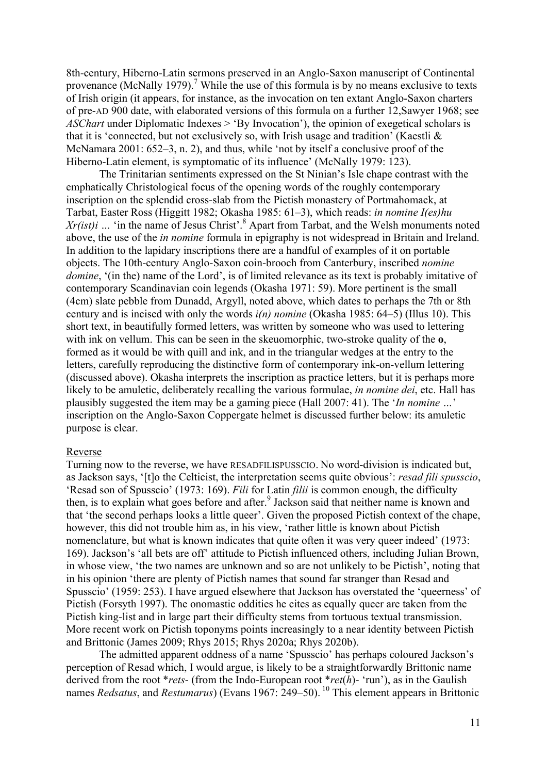8th-century, Hiberno-Latin sermons preserved in an Anglo-Saxon manuscript of Continental provenance (McNally 1979).<sup>7</sup> While the use of this formula is by no means exclusive to texts of Irish origin (it appears, for instance, as the invocation on ten extant Anglo-Saxon charters of pre-AD 900 date, with elaborated versions of this formula on a further 12,Sawyer 1968; see *ASChart* under Diplomatic Indexes > 'By Invocation'), the opinion of exegetical scholars is that it is 'connected, but not exclusively so, with Irish usage and tradition' (Kaestli & McNamara 2001: 652–3, n. 2), and thus, while 'not by itself a conclusive proof of the Hiberno-Latin element, is symptomatic of its influence' (McNally 1979: 123).

The Trinitarian sentiments expressed on the St Ninian's Isle chape contrast with the emphatically Christological focus of the opening words of the roughly contemporary inscription on the splendid cross-slab from the Pictish monastery of Portmahomack, at Tarbat, Easter Ross (Higgitt 1982; Okasha 1985: 61–3), which reads: *in nomine I(es)hu*   $Xr(ist)i$   $\ldots$  'in the name of Jesus Christ'.<sup>8</sup> Apart from Tarbat, and the Welsh monuments noted above, the use of the *in nomine* formula in epigraphy is not widespread in Britain and Ireland. In addition to the lapidary inscriptions there are a handful of examples of it on portable objects. The 10th-century Anglo-Saxon coin-brooch from Canterbury, inscribed *nomine domine*, '(in the) name of the Lord', is of limited relevance as its text is probably imitative of contemporary Scandinavian coin legends (Okasha 1971: 59). More pertinent is the small (4cm) slate pebble from Dunadd, Argyll, noted above, which dates to perhaps the 7th or 8th century and is incised with only the words *i(n) nomine* (Okasha 1985: 64–5) (Illus 10). This short text, in beautifully formed letters, was written by someone who was used to lettering with ink on vellum. This can be seen in the skeuomorphic, two-stroke quality of the **o**, formed as it would be with quill and ink, and in the triangular wedges at the entry to the letters, carefully reproducing the distinctive form of contemporary ink-on-vellum lettering (discussed above). Okasha interprets the inscription as practice letters, but it is perhaps more likely to be amuletic, deliberately recalling the various formulae, *in nomine dei*, etc. Hall has plausibly suggested the item may be a gaming piece (Hall 2007: 41). The '*In nomine …*' inscription on the Anglo-Saxon Coppergate helmet is discussed further below: its amuletic purpose is clear.

### Reverse

Turning now to the reverse, we have RESADFILISPUSSCIO. No word-division is indicated but, as Jackson says, '[t]o the Celticist, the interpretation seems quite obvious': *resad fili spusscio*, 'Resad son of Spusscio' (1973: 169). *Fili* for Latin *filii* is common enough, the difficulty then, is to explain what goes before and after. 9 Jackson said that neither name is known and that 'the second perhaps looks a little queer'. Given the proposed Pictish context of the chape, however, this did not trouble him as, in his view, 'rather little is known about Pictish nomenclature, but what is known indicates that quite often it was very queer indeed' (1973: 169). Jackson's 'all bets are off' attitude to Pictish influenced others, including Julian Brown, in whose view, 'the two names are unknown and so are not unlikely to be Pictish', noting that in his opinion 'there are plenty of Pictish names that sound far stranger than Resad and Spusscio' (1959: 253). I have argued elsewhere that Jackson has overstated the 'queerness' of Pictish (Forsyth 1997). The onomastic oddities he cites as equally queer are taken from the Pictish king-list and in large part their difficulty stems from tortuous textual transmission. More recent work on Pictish toponyms points increasingly to a near identity between Pictish and Brittonic (James 2009; Rhys 2015; Rhys 2020a; Rhys 2020b).

The admitted apparent oddness of a name 'Spusscio' has perhaps coloured Jackson's perception of Resad which, I would argue, is likely to be a straightforwardly Brittonic name derived from the root \**rets*- (from the Indo-European root \**ret*(*h*)- 'run'), as in the Gaulish names *Redsatus*, and *Restumarus*) (Evans 1967: 249–50). <sup>10</sup> This element appears in Brittonic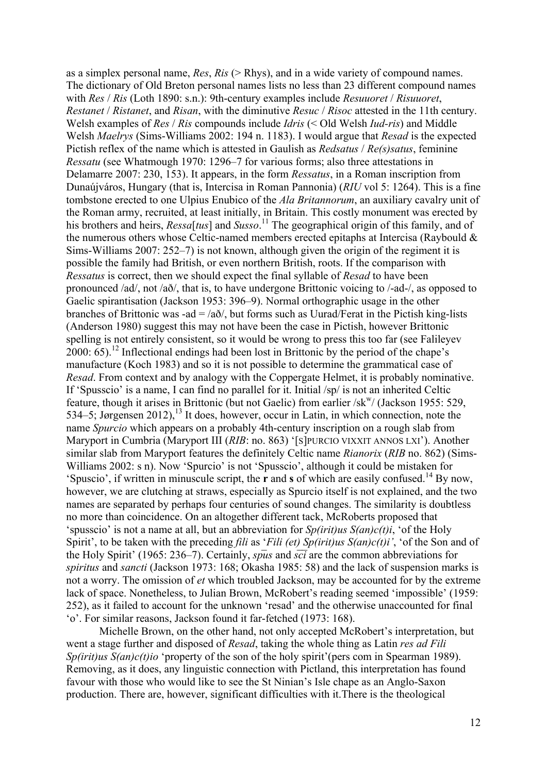as a simplex personal name, *Res*, *Ris* (> Rhys), and in a wide variety of compound names. The dictionary of Old Breton personal names lists no less than 23 different compound names with *Res* / *Ris* (Loth 1890: s.n.): 9th-century examples include *Resuuoret* / *Risuuoret*, *Restanet* / *Ristanet*, and *Risan*, with the diminutive *Resuc* / *Risoc* attested in the 11th century. Welsh examples of *Res* / *Ris* compounds include *Idris* (< Old Welsh *Iud-ris*) and Middle Welsh *Maelrys* (Sims-Williams 2002: 194 n. 1183). I would argue that *Resad* is the expected Pictish reflex of the name which is attested in Gaulish as *Redsatus* / *Re(s)satus*, feminine *Ressatu* (see Whatmough 1970: 1296–7 for various forms; also three attestations in Delamarre 2007: 230, 153). It appears, in the form *Ressatus*, in a Roman inscription from Dunaújváros, Hungary (that is, Intercisa in Roman Pannonia) (*RIU* vol 5: 1264). This is a fine tombstone erected to one Ulpius Enubico of the *Ala Britannorum*, an auxiliary cavalry unit of the Roman army, recruited, at least initially, in Britain. This costly monument was erected by his brothers and heirs, *Ressa*[*tus*] and *Susso*. <sup>11</sup> The geographical origin of this family, and of the numerous others whose Celtic-named members erected epitaphs at Intercisa (Raybould & Sims-Williams 2007: 252–7) is not known, although given the origin of the regiment it is possible the family had British, or even northern British, roots. If the comparison with *Ressatus* is correct, then we should expect the final syllable of *Resad* to have been pronounced /ad/, not /að/, that is, to have undergone Brittonic voicing to /-ad-/, as opposed to Gaelic spirantisation (Jackson 1953: 396–9). Normal orthographic usage in the other branches of Brittonic was -ad  $=$  /a $\delta$ /, but forms such as Uurad/Ferat in the Pictish king-lists (Anderson 1980) suggest this may not have been the case in Pictish, however Brittonic spelling is not entirely consistent, so it would be wrong to press this too far (see Falileyev  $2000: 65$ ).<sup>12</sup> Inflectional endings had been lost in Brittonic by the period of the chape's manufacture (Koch 1983) and so it is not possible to determine the grammatical case of *Resad*. From context and by analogy with the Coppergate Helmet, it is probably nominative. If 'Spusscio' is a name, I can find no parallel for it. Initial /sp/ is not an inherited Celtic feature, though it arises in Brittonic (but not Gaelic) from earlier  $/sk^{w}$  (Jackson 1955: 529, 534–5; Jørgensen 2012), 13 It does, however, occur in Latin, in which connection, note the name *Spurcio* which appears on a probably 4th-century inscription on a rough slab from Maryport in Cumbria (Maryport III (*RIB*: no. 863) '[S]PURCIO VIXXIT ANNOS LXI'). Another similar slab from Maryport features the definitely Celtic name *Rianorix* (*RIB* no. 862) (Sims-Williams 2002: s n). Now 'Spurcio' is not 'Spusscio', although it could be mistaken for 'Spuscio', if written in minuscule script, the **r** and **s** of which are easily confused. 14 By now, however, we are clutching at straws, especially as Spurcio itself is not explained, and the two names are separated by perhaps four centuries of sound changes. The similarity is doubtless no more than coincidence. On an altogether different tack, McRoberts proposed that 'spusscio' is not a name at all, but an abbreviation for *Sp(irit)us S(an)c(t)i*, 'of the Holy Spirit', to be taken with the preceding *fili* as '*Fili (et) Sp(irit)us S(an)c(t)i'*, 'of the Son and of the Holy Spirit' (1965: 236–7). Certainly, *spus* and  $s\overline{ci}$  are the common abbreviations for *spiritus* and *sancti* (Jackson 1973: 168; Okasha 1985: 58) and the lack of suspension marks is not a worry. The omission of *et* which troubled Jackson, may be accounted for by the extreme lack of space. Nonetheless, to Julian Brown, McRobert's reading seemed 'impossible' (1959: 252), as it failed to account for the unknown 'resad' and the otherwise unaccounted for final 'o'. For similar reasons, Jackson found it far-fetched (1973: 168).

Michelle Brown, on the other hand, not only accepted McRobert's interpretation, but went a stage further and disposed of *Resad*, taking the whole thing as Latin *res ad Fili Sp(irit)us S(an)c(t)io* 'property of the son of the holy spirit'(pers com in Spearman 1989). Removing, as it does, any linguistic connection with Pictland, this interpretation has found favour with those who would like to see the St Ninian's Isle chape as an Anglo-Saxon production. There are, however, significant difficulties with it.There is the theological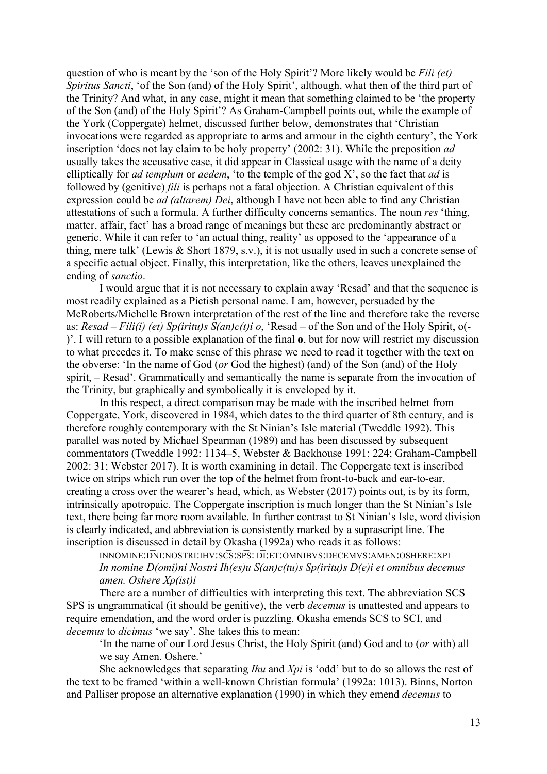question of who is meant by the 'son of the Holy Spirit'? More likely would be *Fili (et) Spiritus Sancti*, 'of the Son (and) of the Holy Spirit', although, what then of the third part of the Trinity? And what, in any case, might it mean that something claimed to be 'the property of the Son (and) of the Holy Spirit'? As Graham-Campbell points out, while the example of the York (Coppergate) helmet, discussed further below, demonstrates that 'Christian invocations were regarded as appropriate to arms and armour in the eighth century', the York inscription 'does not lay claim to be holy property' (2002: 31). While the preposition *ad* usually takes the accusative case, it did appear in Classical usage with the name of a deity elliptically for *ad templum* or *aedem*, 'to the temple of the god X', so the fact that *ad* is followed by (genitive) *fili* is perhaps not a fatal objection. A Christian equivalent of this expression could be *ad (altarem) Dei*, although I have not been able to find any Christian attestations of such a formula. A further difficulty concerns semantics. The noun *res* 'thing, matter, affair, fact' has a broad range of meanings but these are predominantly abstract or generic. While it can refer to 'an actual thing, reality' as opposed to the 'appearance of a thing, mere talk' (Lewis & Short 1879, s.v.), it is not usually used in such a concrete sense of a specific actual object. Finally, this interpretation, like the others, leaves unexplained the ending of *sanctio*.

I would argue that it is not necessary to explain away 'Resad' and that the sequence is most readily explained as a Pictish personal name. I am, however, persuaded by the McRoberts/Michelle Brown interpretation of the rest of the line and therefore take the reverse as: *Resad – Fili(i) (et) Sp(iritu)s S(an)c(t)i o*, 'Resad – of the Son and of the Holy Spirit, o(- )'. I will return to a possible explanation of the final **o**, but for now will restrict my discussion to what precedes it. To make sense of this phrase we need to read it together with the text on the obverse: 'In the name of God (*or* God the highest) (and) of the Son (and) of the Holy spirit, – Resad'. Grammatically and semantically the name is separate from the invocation of the Trinity, but graphically and symbolically it is enveloped by it.

In this respect, a direct comparison may be made with the inscribed helmet from Coppergate, York, discovered in 1984, which dates to the third quarter of 8th century, and is therefore roughly contemporary with the St Ninian's Isle material (Tweddle 1992). This parallel was noted by Michael Spearman (1989) and has been discussed by subsequent commentators (Tweddle 1992: 1134–5, Webster & Backhouse 1991: 224; Graham-Campbell 2002: 31; Webster 2017). It is worth examining in detail. The Coppergate text is inscribed twice on strips which run over the top of the helmet from front-to-back and ear-to-ear, creating a cross over the wearer's head, which, as Webster (2017) points out, is by its form, intrinsically apotropaic. The Coppergate inscription is much longer than the St Ninian's Isle text, there being far more room available. In further contrast to St Ninian's Isle, word division is clearly indicated, and abbreviation is consistently marked by a suprascript line. The inscription is discussed in detail by Okasha (1992a) who reads it as follows:

INNOMINE:D̅NI:NOSTRI:IHV:SC̅S:SP̅S: D̅I:ET:OMNIBVS:DECEMVS:AMEN:OSHERE:XPI *In nomine D(omi)ni Nostri Ih(es)u S(an)c(tu)s Sp(iritu)s D(e)i et omnibus decemus amen. Oshere Χρ(ist)i*

There are a number of difficulties with interpreting this text. The abbreviation SCS SPS is ungrammatical (it should be genitive), the verb *decemus* is unattested and appears to require emendation, and the word order is puzzling. Okasha emends SCS to SCI, and *decemus* to *dicimus* 'we say'. She takes this to mean:

'In the name of our Lord Jesus Christ, the Holy Spirit (and) God and to (*or* with) all we say Amen. Oshere.'

She acknowledges that separating *Ihu* and *Xpi* is 'odd' but to do so allows the rest of the text to be framed 'within a well-known Christian formula' (1992a: 1013). Binns, Norton and Palliser propose an alternative explanation (1990) in which they emend *decemus* to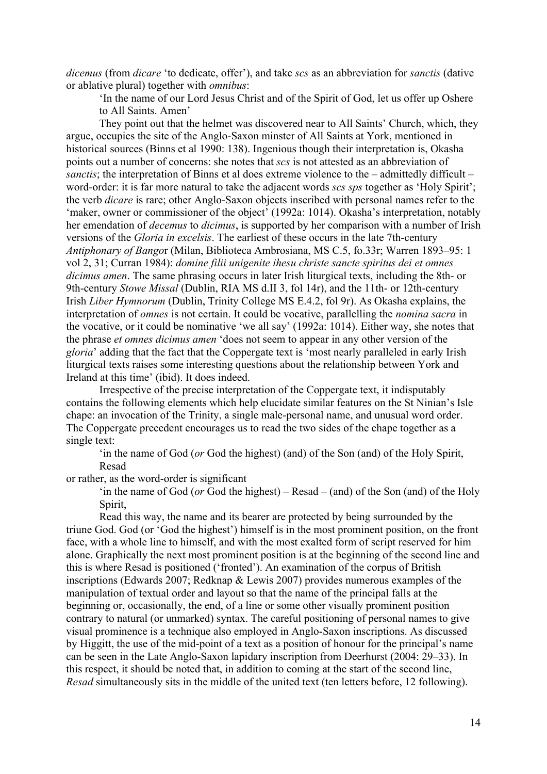*dicemus* (from *dicare* 'to dedicate, offer'), and take *scs* as an abbreviation for *sanctis* (dative or ablative plural) together with *omnibus*:

'In the name of our Lord Jesus Christ and of the Spirit of God, let us offer up Oshere to All Saints. Amen'

They point out that the helmet was discovered near to All Saints' Church, which, they argue, occupies the site of the Anglo-Saxon minster of All Saints at York, mentioned in historical sources (Binns et al 1990: 138). Ingenious though their interpretation is, Okasha points out a number of concerns: she notes that *scs* is not attested as an abbreviation of *sanctis*; the interpretation of Binns et al does extreme violence to the – admittedly difficult – word-order: it is far more natural to take the adjacent words *scs sps* together as 'Holy Spirit'; the verb *dicare* is rare; other Anglo-Saxon objects inscribed with personal names refer to the 'maker, owner or commissioner of the object' (1992a: 1014). Okasha's interpretation, notably her emendation of *decemus* to *dicimus*, is supported by her comparison with a number of Irish versions of the *Gloria in excelsis*. The earliest of these occurs in the late 7th-century *Antiphonary of Bango*r (Milan, Biblioteca Ambrosiana, MS C.5, fo.33r; Warren 1893–95: 1 vol 2, 31; Curran 1984): *domine filii unigenite ihesu christe sancte spiritus dei et omnes dicimus amen*. The same phrasing occurs in later Irish liturgical texts, including the 8th- or 9th-century *Stowe Missal* (Dublin, RIA MS d.II 3, fol 14r), and the 11th- or 12th-century Irish *Liber Hymnorum* (Dublin, Trinity College MS E.4.2, fol 9r). As Okasha explains, the interpretation of *omnes* is not certain. It could be vocative, parallelling the *nomina sacra* in the vocative, or it could be nominative 'we all say' (1992a: 1014). Either way, she notes that the phrase *et omnes dicimus amen* 'does not seem to appear in any other version of the *gloria*' adding that the fact that the Coppergate text is 'most nearly paralleled in early Irish liturgical texts raises some interesting questions about the relationship between York and Ireland at this time' (ibid). It does indeed.

Irrespective of the precise interpretation of the Coppergate text, it indisputably contains the following elements which help elucidate similar features on the St Ninian's Isle chape: an invocation of the Trinity, a single male-personal name, and unusual word order. The Coppergate precedent encourages us to read the two sides of the chape together as a single text:

'in the name of God (*or* God the highest) (and) of the Son (and) of the Holy Spirit, Resad

or rather, as the word-order is significant

'in the name of God (*or* God the highest) – Resad – (and) of the Son (and) of the Holy Spirit,

Read this way, the name and its bearer are protected by being surrounded by the triune God. God (or 'God the highest') himself is in the most prominent position, on the front face, with a whole line to himself, and with the most exalted form of script reserved for him alone. Graphically the next most prominent position is at the beginning of the second line and this is where Resad is positioned ('fronted'). An examination of the corpus of British inscriptions (Edwards 2007; Redknap & Lewis 2007) provides numerous examples of the manipulation of textual order and layout so that the name of the principal falls at the beginning or, occasionally, the end, of a line or some other visually prominent position contrary to natural (or unmarked) syntax. The careful positioning of personal names to give visual prominence is a technique also employed in Anglo-Saxon inscriptions. As discussed by Higgitt, the use of the mid-point of a text as a position of honour for the principal's name can be seen in the Late Anglo-Saxon lapidary inscription from Deerhurst (2004: 29–33). In this respect, it should be noted that, in addition to coming at the start of the second line, *Resad* simultaneously sits in the middle of the united text (ten letters before, 12 following).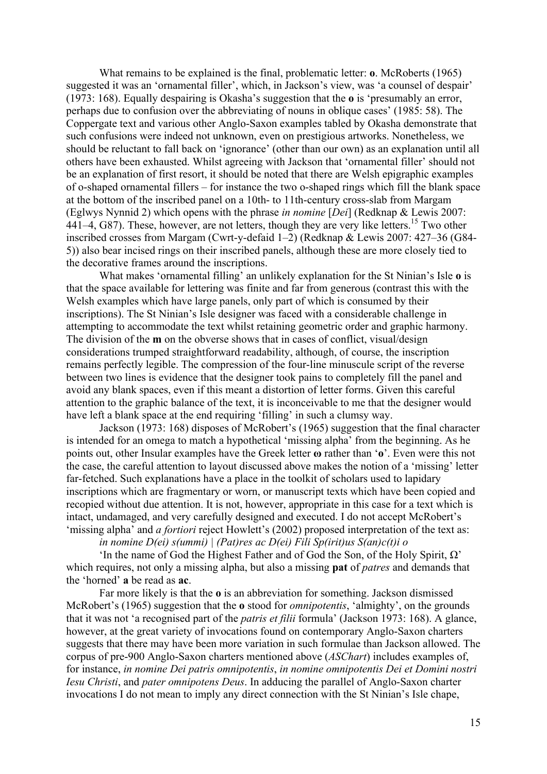What remains to be explained is the final, problematic letter: **o**. McRoberts (1965) suggested it was an 'ornamental filler', which, in Jackson's view, was 'a counsel of despair' (1973: 168). Equally despairing is Okasha's suggestion that the **o** is 'presumably an error, perhaps due to confusion over the abbreviating of nouns in oblique cases' (1985: 58). The Coppergate text and various other Anglo-Saxon examples tabled by Okasha demonstrate that such confusions were indeed not unknown, even on prestigious artworks. Nonetheless, we should be reluctant to fall back on 'ignorance' (other than our own) as an explanation until all others have been exhausted. Whilst agreeing with Jackson that 'ornamental filler' should not be an explanation of first resort, it should be noted that there are Welsh epigraphic examples of o-shaped ornamental fillers – for instance the two o-shaped rings which fill the blank space at the bottom of the inscribed panel on a 10th- to 11th-century cross-slab from Margam (Eglwys Nynnid 2) which opens with the phrase *in nomine* [*Dei*] (Redknap & Lewis 2007: 441–4, G87). These, however, are not letters, though they are very like letters.<sup>15</sup> Two other inscribed crosses from Margam (Cwrt-y-defaid 1–2) (Redknap & Lewis 2007: 427–36 (G84- 5)) also bear incised rings on their inscribed panels, although these are more closely tied to the decorative frames around the inscriptions.

What makes 'ornamental filling' an unlikely explanation for the St Ninian's Isle **o** is that the space available for lettering was finite and far from generous (contrast this with the Welsh examples which have large panels, only part of which is consumed by their inscriptions). The St Ninian's Isle designer was faced with a considerable challenge in attempting to accommodate the text whilst retaining geometric order and graphic harmony. The division of the **m** on the obverse shows that in cases of conflict, visual/design considerations trumped straightforward readability, although, of course, the inscription remains perfectly legible. The compression of the four-line minuscule script of the reverse between two lines is evidence that the designer took pains to completely fill the panel and avoid any blank spaces, even if this meant a distortion of letter forms. Given this careful attention to the graphic balance of the text, it is inconceivable to me that the designer would have left a blank space at the end requiring 'filling' in such a clumsy way.

Jackson (1973: 168) disposes of McRobert's (1965) suggestion that the final character is intended for an omega to match a hypothetical 'missing alpha' from the beginning. As he points out, other Insular examples have the Greek letter **ω** rather than '**o**'. Even were this not the case, the careful attention to layout discussed above makes the notion of a 'missing' letter far-fetched. Such explanations have a place in the toolkit of scholars used to lapidary inscriptions which are fragmentary or worn, or manuscript texts which have been copied and recopied without due attention. It is not, however, appropriate in this case for a text which is intact, undamaged, and very carefully designed and executed. I do not accept McRobert's 'missing alpha' and *a fortiori* reject Howlett's (2002) proposed interpretation of the text as:

*in nomine D(ei) s(ummi) | (Pat)res ac D(ei) Fili Sp(irit)us S(an)c(t)i o*

'In the name of God the Highest Father and of God the Son, of the Holy Spirit, Ω' which requires, not only a missing alpha, but also a missing **pat** of *patres* and demands that the 'horned' **a** be read as **ac**.

Far more likely is that the **o** is an abbreviation for something. Jackson dismissed McRobert's (1965) suggestion that the **o** stood for *omnipotentis*, 'almighty', on the grounds that it was not 'a recognised part of the *patris et filii* formula' (Jackson 1973: 168). A glance, however, at the great variety of invocations found on contemporary Anglo-Saxon charters suggests that there may have been more variation in such formulae than Jackson allowed. The corpus of pre-900 Anglo-Saxon charters mentioned above (*ASChart*) includes examples of, for instance, *in nomine Dei patris omnipotentis*, *in nomine omnipotentis Dei et Domini nostri Iesu Christi*, and *pater omnipotens Deus*. In adducing the parallel of Anglo-Saxon charter invocations I do not mean to imply any direct connection with the St Ninian's Isle chape,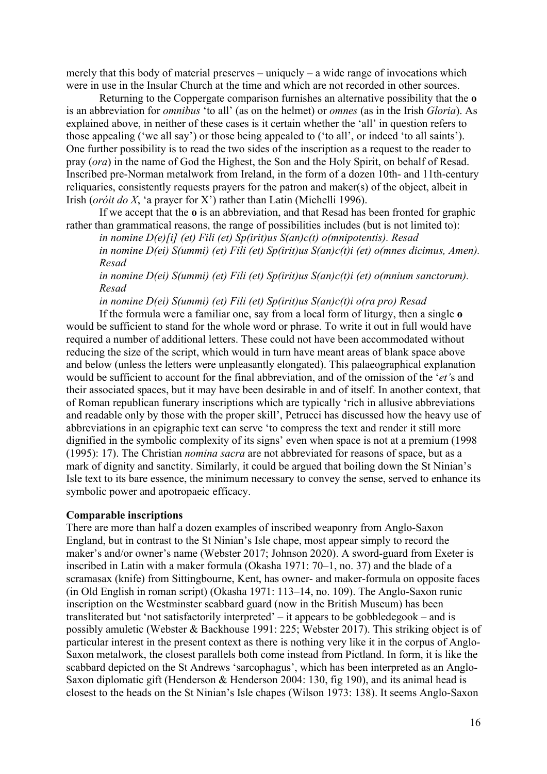merely that this body of material preserves – uniquely – a wide range of invocations which were in use in the Insular Church at the time and which are not recorded in other sources.

Returning to the Coppergate comparison furnishes an alternative possibility that the **o** is an abbreviation for *omnibus* 'to all' (as on the helmet) or *omnes* (as in the Irish *Gloria*). As explained above, in neither of these cases is it certain whether the 'all' in question refers to those appealing ('we all say') or those being appealed to ('to all', or indeed 'to all saints'). One further possibility is to read the two sides of the inscription as a request to the reader to pray (*ora*) in the name of God the Highest, the Son and the Holy Spirit, on behalf of Resad. Inscribed pre-Norman metalwork from Ireland, in the form of a dozen 10th- and 11th-century reliquaries, consistently requests prayers for the patron and maker(s) of the object, albeit in Irish (*oróit do X*, 'a prayer for X') rather than Latin (Michelli 1996).

If we accept that the **o** is an abbreviation, and that Resad has been fronted for graphic rather than grammatical reasons, the range of possibilities includes (but is not limited to):

*in nomine D(e)[i] (et) Fili (et) Sp(irit)us S(an)c(t) o(mnipotentis). Resad in nomine D(ei) S(ummi) (et) Fili (et) Sp(irit)us S(an)c(t)i (et) o(mnes dicimus, Amen). Resad*

*in nomine D(ei) S(ummi) (et) Fili (et) Sp(irit)us S(an)c(t)i (et) o(mnium sanctorum). Resad*

*in nomine D(ei) S(ummi) (et) Fili (et) Sp(irit)us S(an)c(t)i o(ra pro) Resad*

If the formula were a familiar one, say from a local form of liturgy, then a single **o** would be sufficient to stand for the whole word or phrase. To write it out in full would have required a number of additional letters. These could not have been accommodated without reducing the size of the script, which would in turn have meant areas of blank space above and below (unless the letters were unpleasantly elongated). This palaeographical explanation would be sufficient to account for the final abbreviation, and of the omission of the '*et'*s and their associated spaces, but it may have been desirable in and of itself. In another context, that of Roman republican funerary inscriptions which are typically 'rich in allusive abbreviations and readable only by those with the proper skill', Petrucci has discussed how the heavy use of abbreviations in an epigraphic text can serve 'to compress the text and render it still more dignified in the symbolic complexity of its signs' even when space is not at a premium (1998 (1995): 17). The Christian *nomina sacra* are not abbreviated for reasons of space, but as a mark of dignity and sanctity. Similarly, it could be argued that boiling down the St Ninian's Isle text to its bare essence, the minimum necessary to convey the sense, served to enhance its symbolic power and apotropaeic efficacy.

#### **Comparable inscriptions**

There are more than half a dozen examples of inscribed weaponry from Anglo-Saxon England, but in contrast to the St Ninian's Isle chape, most appear simply to record the maker's and/or owner's name (Webster 2017; Johnson 2020). A sword-guard from Exeter is inscribed in Latin with a maker formula (Okasha 1971: 70–1, no. 37) and the blade of a scramasax (knife) from Sittingbourne, Kent, has owner- and maker-formula on opposite faces (in Old English in roman script) (Okasha 1971: 113–14, no. 109). The Anglo-Saxon runic inscription on the Westminster scabbard guard (now in the British Museum) has been transliterated but 'not satisfactorily interpreted' – it appears to be gobbledegook – and is possibly amuletic (Webster & Backhouse 1991: 225; Webster 2017). This striking object is of particular interest in the present context as there is nothing very like it in the corpus of Anglo-Saxon metalwork, the closest parallels both come instead from Pictland. In form, it is like the scabbard depicted on the St Andrews 'sarcophagus', which has been interpreted as an Anglo-Saxon diplomatic gift (Henderson & Henderson 2004: 130, fig 190), and its animal head is closest to the heads on the St Ninian's Isle chapes (Wilson 1973: 138). It seems Anglo-Saxon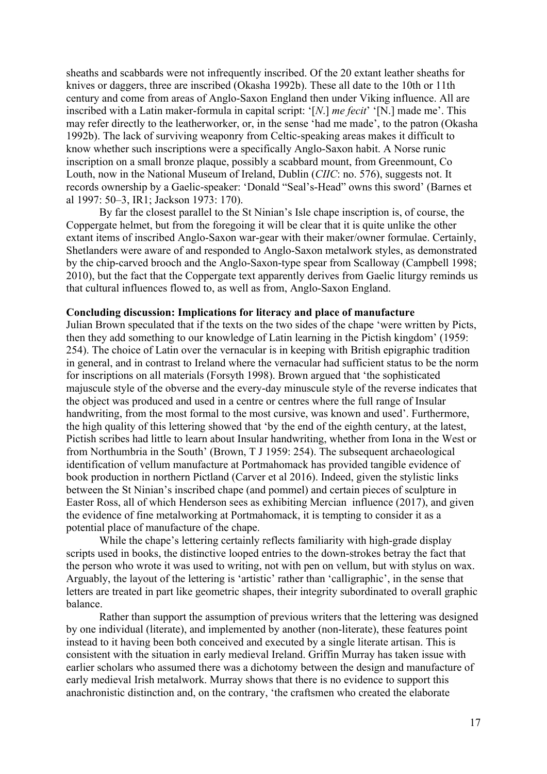sheaths and scabbards were not infrequently inscribed. Of the 20 extant leather sheaths for knives or daggers, three are inscribed (Okasha 1992b). These all date to the 10th or 11th century and come from areas of Anglo-Saxon England then under Viking influence. All are inscribed with a Latin maker-formula in capital script: '[*N*.] *me fecit*' '[N.] made me'. This may refer directly to the leatherworker, or, in the sense 'had me made', to the patron (Okasha 1992b). The lack of surviving weaponry from Celtic-speaking areas makes it difficult to know whether such inscriptions were a specifically Anglo-Saxon habit. A Norse runic inscription on a small bronze plaque, possibly a scabbard mount, from Greenmount, Co Louth, now in the National Museum of Ireland, Dublin (*CIIC*: no. 576), suggests not. It records ownership by a Gaelic-speaker: 'Donald "Seal's-Head" owns this sword' (Barnes et al 1997: 50–3, IR1; Jackson 1973: 170).

By far the closest parallel to the St Ninian's Isle chape inscription is, of course, the Coppergate helmet, but from the foregoing it will be clear that it is quite unlike the other extant items of inscribed Anglo-Saxon war-gear with their maker/owner formulae. Certainly, Shetlanders were aware of and responded to Anglo-Saxon metalwork styles, as demonstrated by the chip-carved brooch and the Anglo-Saxon-type spear from Scalloway (Campbell 1998; 2010), but the fact that the Coppergate text apparently derives from Gaelic liturgy reminds us that cultural influences flowed to, as well as from, Anglo-Saxon England.

#### **Concluding discussion: Implications for literacy and place of manufacture**

Julian Brown speculated that if the texts on the two sides of the chape 'were written by Picts, then they add something to our knowledge of Latin learning in the Pictish kingdom' (1959: 254). The choice of Latin over the vernacular is in keeping with British epigraphic tradition in general, and in contrast to Ireland where the vernacular had sufficient status to be the norm for inscriptions on all materials (Forsyth 1998). Brown argued that 'the sophisticated majuscule style of the obverse and the every-day minuscule style of the reverse indicates that the object was produced and used in a centre or centres where the full range of Insular handwriting, from the most formal to the most cursive, was known and used'. Furthermore, the high quality of this lettering showed that 'by the end of the eighth century, at the latest, Pictish scribes had little to learn about Insular handwriting, whether from Iona in the West or from Northumbria in the South' (Brown, T J 1959: 254). The subsequent archaeological identification of vellum manufacture at Portmahomack has provided tangible evidence of book production in northern Pictland (Carver et al 2016). Indeed, given the stylistic links between the St Ninian's inscribed chape (and pommel) and certain pieces of sculpture in Easter Ross, all of which Henderson sees as exhibiting Mercian influence (2017), and given the evidence of fine metalworking at Portmahomack, it is tempting to consider it as a potential place of manufacture of the chape.

While the chape's lettering certainly reflects familiarity with high-grade display scripts used in books, the distinctive looped entries to the down-strokes betray the fact that the person who wrote it was used to writing, not with pen on vellum, but with stylus on wax. Arguably, the layout of the lettering is 'artistic' rather than 'calligraphic', in the sense that letters are treated in part like geometric shapes, their integrity subordinated to overall graphic balance.

Rather than support the assumption of previous writers that the lettering was designed by one individual (literate), and implemented by another (non-literate), these features point instead to it having been both conceived and executed by a single literate artisan. This is consistent with the situation in early medieval Ireland. Griffin Murray has taken issue with earlier scholars who assumed there was a dichotomy between the design and manufacture of early medieval Irish metalwork. Murray shows that there is no evidence to support this anachronistic distinction and, on the contrary, 'the craftsmen who created the elaborate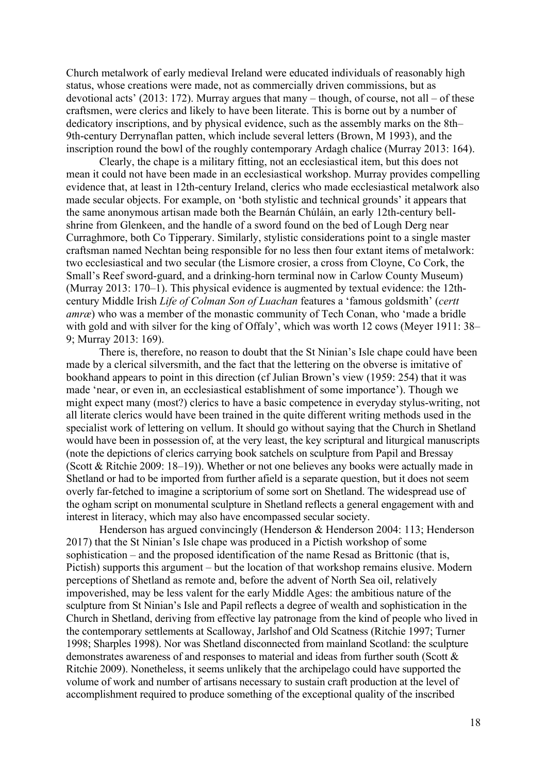Church metalwork of early medieval Ireland were educated individuals of reasonably high status, whose creations were made, not as commercially driven commissions, but as devotional acts' (2013: 172). Murray argues that many – though, of course, not all – of these craftsmen, were clerics and likely to have been literate. This is borne out by a number of dedicatory inscriptions, and by physical evidence, such as the assembly marks on the 8th– 9th-century Derrynaflan patten, which include several letters (Brown, M 1993), and the inscription round the bowl of the roughly contemporary Ardagh chalice (Murray 2013: 164).

Clearly, the chape is a military fitting, not an ecclesiastical item, but this does not mean it could not have been made in an ecclesiastical workshop. Murray provides compelling evidence that, at least in 12th-century Ireland, clerics who made ecclesiastical metalwork also made secular objects. For example, on 'both stylistic and technical grounds' it appears that the same anonymous artisan made both the Bearnán Chúláin, an early 12th-century bellshrine from Glenkeen, and the handle of a sword found on the bed of Lough Derg near Curraghmore, both Co Tipperary. Similarly, stylistic considerations point to a single master craftsman named Nechtan being responsible for no less then four extant items of metalwork: two ecclesiastical and two secular (the Lismore crosier, a cross from Cloyne, Co Cork, the Small's Reef sword-guard, and a drinking-horn terminal now in Carlow County Museum) (Murray 2013: 170–1). This physical evidence is augmented by textual evidence: the 12thcentury Middle Irish *Life of Colman Son of Luachan* features a 'famous goldsmith' (*certt amræ*) who was a member of the monastic community of Tech Conan, who 'made a bridle with gold and with silver for the king of Offaly', which was worth 12 cows (Meyer 1911: 38– 9; Murray 2013: 169).

There is, therefore, no reason to doubt that the St Ninian's Isle chape could have been made by a clerical silversmith, and the fact that the lettering on the obverse is imitative of bookhand appears to point in this direction (cf Julian Brown's view (1959: 254) that it was made 'near, or even in, an ecclesiastical establishment of some importance'). Though we might expect many (most?) clerics to have a basic competence in everyday stylus-writing, not all literate clerics would have been trained in the quite different writing methods used in the specialist work of lettering on vellum. It should go without saying that the Church in Shetland would have been in possession of, at the very least, the key scriptural and liturgical manuscripts (note the depictions of clerics carrying book satchels on sculpture from Papil and Bressay (Scott & Ritchie 2009: 18–19)). Whether or not one believes any books were actually made in Shetland or had to be imported from further afield is a separate question, but it does not seem overly far-fetched to imagine a scriptorium of some sort on Shetland. The widespread use of the ogham script on monumental sculpture in Shetland reflects a general engagement with and interest in literacy, which may also have encompassed secular society.

Henderson has argued convincingly (Henderson & Henderson 2004: 113; Henderson 2017) that the St Ninian's Isle chape was produced in a Pictish workshop of some sophistication – and the proposed identification of the name Resad as Brittonic (that is, Pictish) supports this argument – but the location of that workshop remains elusive. Modern perceptions of Shetland as remote and, before the advent of North Sea oil, relatively impoverished, may be less valent for the early Middle Ages: the ambitious nature of the sculpture from St Ninian's Isle and Papil reflects a degree of wealth and sophistication in the Church in Shetland, deriving from effective lay patronage from the kind of people who lived in the contemporary settlements at Scalloway, Jarlshof and Old Scatness (Ritchie 1997; Turner 1998; Sharples 1998). Nor was Shetland disconnected from mainland Scotland: the sculpture demonstrates awareness of and responses to material and ideas from further south (Scott & Ritchie 2009). Nonetheless, it seems unlikely that the archipelago could have supported the volume of work and number of artisans necessary to sustain craft production at the level of accomplishment required to produce something of the exceptional quality of the inscribed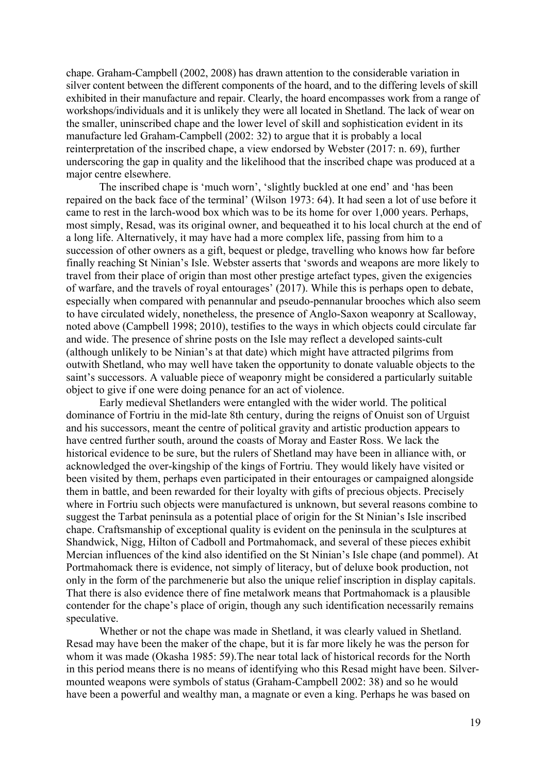chape. Graham-Campbell (2002, 2008) has drawn attention to the considerable variation in silver content between the different components of the hoard, and to the differing levels of skill exhibited in their manufacture and repair. Clearly, the hoard encompasses work from a range of workshops/individuals and it is unlikely they were all located in Shetland. The lack of wear on the smaller, uninscribed chape and the lower level of skill and sophistication evident in its manufacture led Graham-Campbell (2002: 32) to argue that it is probably a local reinterpretation of the inscribed chape, a view endorsed by Webster (2017: n. 69), further underscoring the gap in quality and the likelihood that the inscribed chape was produced at a major centre elsewhere.

The inscribed chape is 'much worn', 'slightly buckled at one end' and 'has been repaired on the back face of the terminal' (Wilson 1973: 64). It had seen a lot of use before it came to rest in the larch-wood box which was to be its home for over 1,000 years. Perhaps, most simply, Resad, was its original owner, and bequeathed it to his local church at the end of a long life. Alternatively, it may have had a more complex life, passing from him to a succession of other owners as a gift, bequest or pledge, travelling who knows how far before finally reaching St Ninian's Isle. Webster asserts that 'swords and weapons are more likely to travel from their place of origin than most other prestige artefact types, given the exigencies of warfare, and the travels of royal entourages' (2017). While this is perhaps open to debate, especially when compared with penannular and pseudo-pennanular brooches which also seem to have circulated widely, nonetheless, the presence of Anglo-Saxon weaponry at Scalloway, noted above (Campbell 1998; 2010), testifies to the ways in which objects could circulate far and wide. The presence of shrine posts on the Isle may reflect a developed saints-cult (although unlikely to be Ninian's at that date) which might have attracted pilgrims from outwith Shetland, who may well have taken the opportunity to donate valuable objects to the saint's successors. A valuable piece of weaponry might be considered a particularly suitable object to give if one were doing penance for an act of violence.

Early medieval Shetlanders were entangled with the wider world. The political dominance of Fortriu in the mid-late 8th century, during the reigns of Onuist son of Urguist and his successors, meant the centre of political gravity and artistic production appears to have centred further south, around the coasts of Moray and Easter Ross. We lack the historical evidence to be sure, but the rulers of Shetland may have been in alliance with, or acknowledged the over-kingship of the kings of Fortriu. They would likely have visited or been visited by them, perhaps even participated in their entourages or campaigned alongside them in battle, and been rewarded for their loyalty with gifts of precious objects. Precisely where in Fortriu such objects were manufactured is unknown, but several reasons combine to suggest the Tarbat peninsula as a potential place of origin for the St Ninian's Isle inscribed chape. Craftsmanship of exceptional quality is evident on the peninsula in the sculptures at Shandwick, Nigg, Hilton of Cadboll and Portmahomack, and several of these pieces exhibit Mercian influences of the kind also identified on the St Ninian's Isle chape (and pommel). At Portmahomack there is evidence, not simply of literacy, but of deluxe book production, not only in the form of the parchmenerie but also the unique relief inscription in display capitals. That there is also evidence there of fine metalwork means that Portmahomack is a plausible contender for the chape's place of origin, though any such identification necessarily remains speculative.

Whether or not the chape was made in Shetland, it was clearly valued in Shetland. Resad may have been the maker of the chape, but it is far more likely he was the person for whom it was made (Okasha 1985: 59).The near total lack of historical records for the North in this period means there is no means of identifying who this Resad might have been. Silvermounted weapons were symbols of status (Graham-Campbell 2002: 38) and so he would have been a powerful and wealthy man, a magnate or even a king. Perhaps he was based on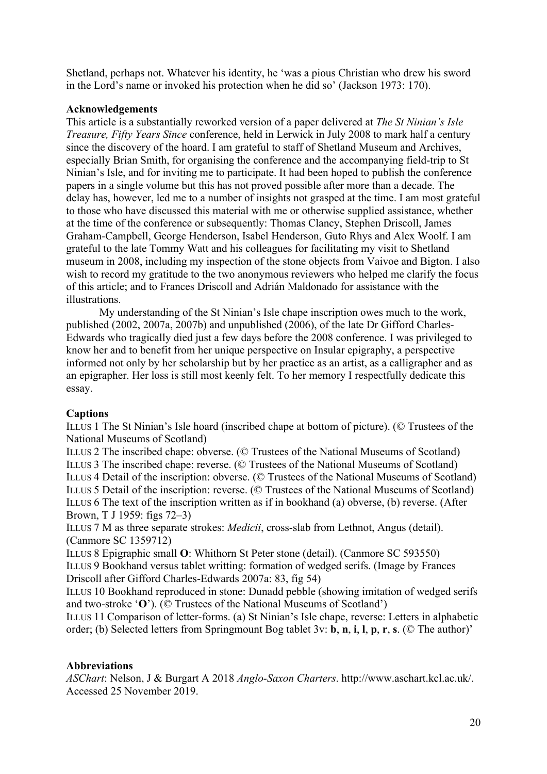Shetland, perhaps not. Whatever his identity, he 'was a pious Christian who drew his sword in the Lord's name or invoked his protection when he did so' (Jackson 1973: 170).

# **Acknowledgements**

This article is a substantially reworked version of a paper delivered at *The St Ninian's Isle Treasure, Fifty Years Since* conference, held in Lerwick in July 2008 to mark half a century since the discovery of the hoard. I am grateful to staff of Shetland Museum and Archives, especially Brian Smith, for organising the conference and the accompanying field-trip to St Ninian's Isle, and for inviting me to participate. It had been hoped to publish the conference papers in a single volume but this has not proved possible after more than a decade. The delay has, however, led me to a number of insights not grasped at the time. I am most grateful to those who have discussed this material with me or otherwise supplied assistance, whether at the time of the conference or subsequently: Thomas Clancy, Stephen Driscoll, James Graham-Campbell, George Henderson, Isabel Henderson, Guto Rhys and Alex Woolf. I am grateful to the late Tommy Watt and his colleagues for facilitating my visit to Shetland museum in 2008, including my inspection of the stone objects from Vaivoe and Bigton. I also wish to record my gratitude to the two anonymous reviewers who helped me clarify the focus of this article; and to Frances Driscoll and Adrián Maldonado for assistance with the illustrations.

My understanding of the St Ninian's Isle chape inscription owes much to the work, published (2002, 2007a, 2007b) and unpublished (2006), of the late Dr Gifford Charles-Edwards who tragically died just a few days before the 2008 conference. I was privileged to know her and to benefit from her unique perspective on Insular epigraphy, a perspective informed not only by her scholarship but by her practice as an artist, as a calligrapher and as an epigrapher. Her loss is still most keenly felt. To her memory I respectfully dedicate this essay.

# **Captions**

ILLUS 1 The St Ninian's Isle hoard (inscribed chape at bottom of picture). (© Trustees of the National Museums of Scotland)

ILLUS 2 The inscribed chape: obverse. (© Trustees of the National Museums of Scotland) ILLUS 3 The inscribed chape: reverse. (© Trustees of the National Museums of Scotland) ILLUS 4 Detail of the inscription: obverse. (© Trustees of the National Museums of Scotland) ILLUS 5 Detail of the inscription: reverse. (© Trustees of the National Museums of Scotland) ILLUS 6 The text of the inscription written as if in bookhand (a) obverse, (b) reverse. (After Brown, T J 1959: figs 72–3)

ILLUS 7 M as three separate strokes: *Medicii*, cross-slab from Lethnot, Angus (detail). (Canmore SC 1359712)

ILLUS 8 Epigraphic small **O**: Whithorn St Peter stone (detail). (Canmore SC 593550) ILLUS 9 Bookhand versus tablet writting: formation of wedged serifs. (Image by Frances Driscoll after Gifford Charles-Edwards 2007a: 83, fig 54)

ILLUS 10 Bookhand reproduced in stone: Dunadd pebble (showing imitation of wedged serifs and two-stroke '**O**'). (© Trustees of the National Museums of Scotland')

ILLUS 11 Comparison of letter-forms. (a) St Ninian's Isle chape, reverse: Letters in alphabetic order; (b) Selected letters from Springmount Bog tablet 3v: **b**, **n**, **i**, **l**, **p**, **r**, **s**. (© The author)'

# **Abbreviations**

*ASChart*: Nelson, J & Burgart A 2018 *Anglo-Saxon Charters*. http://www.aschart.kcl.ac.uk/. Accessed 25 November 2019.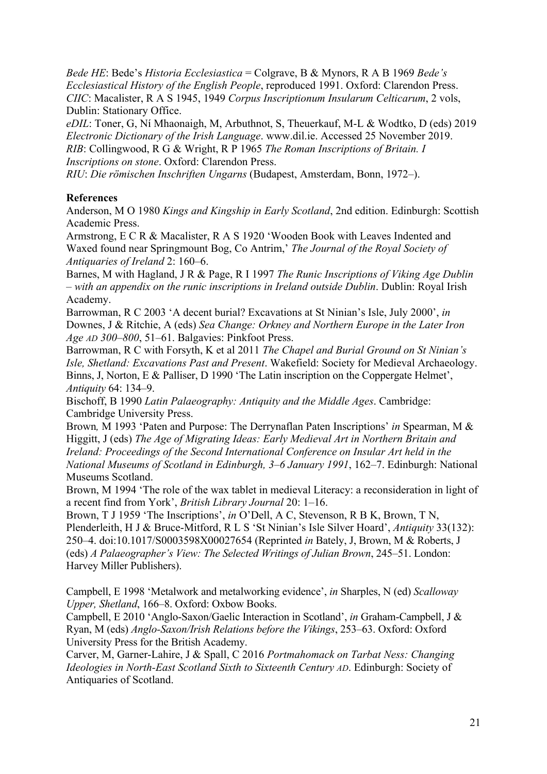*Bede HE*: Bede's *Historia Ecclesiastica* = Colgrave, B & Mynors, R A B 1969 *Bede's Ecclesiastical History of the English People*, reproduced 1991. Oxford: Clarendon Press. *CIIC*: Macalister, R A S 1945, 1949 *Corpus Inscriptionum Insularum Celticarum*, 2 vols, Dublin: Stationary Office.

*eDIL*: Toner, G, Ní Mhaonaigh, M, Arbuthnot, S, Theuerkauf, M-L & Wodtko, D (eds) 2019 *Electronic Dictionary of the Irish Language*. www.dil.ie. Accessed 25 November 2019. *RIB*: Collingwood, R G & Wright, R P 1965 *The Roman Inscriptions of Britain. I Inscriptions on stone*. Oxford: Clarendon Press.

*RIU*: *Die römischen Inschriften Ungarns* (Budapest, Amsterdam, Bonn, 1972–).

# **References**

Anderson, M O 1980 *Kings and Kingship in Early Scotland*, 2nd edition. Edinburgh: Scottish Academic Press.

Armstrong, E C R & Macalister, R A S 1920 'Wooden Book with Leaves Indented and Waxed found near Springmount Bog, Co Antrim,' *The Journal of the Royal Society of Antiquaries of Ireland* 2: 160–6.

Barnes, M with Hagland, J R & Page, R I 1997 *The Runic Inscriptions of Viking Age Dublin – with an appendix on the runic inscriptions in Ireland outside Dublin*. Dublin: Royal Irish Academy.

Barrowman, R C 2003 'A decent burial? Excavations at St Ninian's Isle, July 2000', *in* Downes, J & Ritchie, A (eds) *Sea Change: Orkney and Northern Europe in the Later Iron Age AD 300–800*, 51–61. Balgavies: Pinkfoot Press.

Barrowman, R C with Forsyth, K et al 2011 *The Chapel and Burial Ground on St Ninian's Isle, Shetland: Excavations Past and Present*. Wakefield: Society for Medieval Archaeology. Binns, J, Norton, E & Palliser, D 1990 'The Latin inscription on the Coppergate Helmet', *Antiquity* 64: 134–9.

Bischoff, B 1990 *Latin Palaeography: Antiquity and the Middle Ages*. Cambridge: Cambridge University Press.

Brown*,* M 1993 'Paten and Purpose: The Derrynaflan Paten Inscriptions' *in* Spearman, M & Higgitt, J (eds) *The Age of Migrating Ideas: Early Medieval Art in Northern Britain and Ireland: Proceedings of the Second International Conference on Insular Art held in the National Museums of Scotland in Edinburgh, 3–6 January 1991*, 162–7. Edinburgh: National Museums Scotland.

Brown, M 1994 'The role of the wax tablet in medieval Literacy: a reconsideration in light of a recent find from York', *British Library Journal* 20: 1–16.

Brown, T J 1959 'The Inscriptions', *in* O'Dell, A C, Stevenson, R B K, Brown, T N, Plenderleith, H J & Bruce-Mitford, R L S 'St Ninian's Isle Silver Hoard', *Antiquity* 33(132): 250–4. doi:10.1017/S0003598X00027654 (Reprinted *in* Bately, J, Brown, M & Roberts, J (eds) *A Palaeographer's View: The Selected Writings of Julian Brown*, 245–51. London: Harvey Miller Publishers).

Campbell, E 1998 'Metalwork and metalworking evidence', *in* Sharples, N (ed) *Scalloway Upper, Shetland*, 166–8. Oxford: Oxbow Books.

Campbell, E 2010 'Anglo-Saxon/Gaelic Interaction in Scotland', *in* Graham-Campbell, J & Ryan, M (eds) *Anglo-Saxon/Irish Relations before the Vikings*, 253–63. Oxford: Oxford University Press for the British Academy.

Carver, M, Garner-Lahire, J & Spall, C 2016 *Portmahomack on Tarbat Ness: Changing Ideologies in North-East Scotland Sixth to Sixteenth Century AD*. Edinburgh: Society of Antiquaries of Scotland.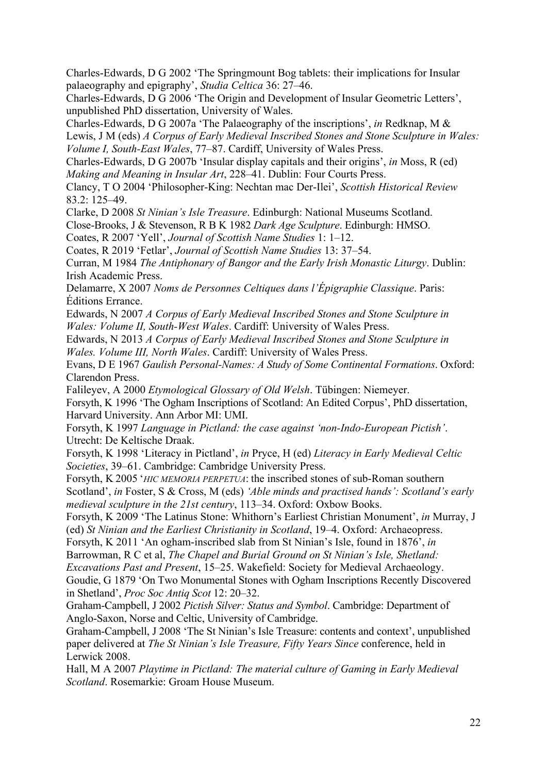Charles-Edwards, D G 2002 'The Springmount Bog tablets: their implications for Insular palaeography and epigraphy', *Studia Celtica* 36: 27–46.

Charles-Edwards, D G 2006 'The Origin and Development of Insular Geometric Letters', unpublished PhD dissertation, University of Wales.

Charles-Edwards, D G 2007a 'The Palaeography of the inscriptions', *in* Redknap, M &

Lewis, J M (eds) *A Corpus of Early Medieval Inscribed Stones and Stone Sculpture in Wales: Volume I, South-East Wales*, 77–87. Cardiff, University of Wales Press.

Charles-Edwards, D G 2007b 'Insular display capitals and their origins', *in* Moss, R (ed) *Making and Meaning in Insular Art*, 228–41. Dublin: Four Courts Press.

Clancy, T O 2004 'Philosopher-King: Nechtan mac Der-Ilei', *Scottish Historical Review* 83.2: 125–49.

Clarke, D 2008 *St Ninian's Isle Treasure*. Edinburgh: National Museums Scotland.

Close-Brooks, J & Stevenson, R B K 1982 *Dark Age Sculpture*. Edinburgh: HMSO.

Coates, R 2007 'Yell', *Journal of Scottish Name Studies* 1: 1–12.

Coates, R 2019 'Fetlar', *Journal of Scottish Name Studies* 13: 37–54.

Curran, M 1984 *The Antiphonary of Bangor and the Early Irish Monastic Liturgy*. Dublin: Irish Academic Press.

Delamarre, X 2007 *Noms de Personnes Celtiques dans l'Épigraphie Classique*. Paris: Éditions Errance.

Edwards, N 2007 *A Corpus of Early Medieval Inscribed Stones and Stone Sculpture in Wales: Volume II, South-West Wales*. Cardiff: University of Wales Press.

Edwards, N 2013 *A Corpus of Early Medieval Inscribed Stones and Stone Sculpture in Wales. Volume III, North Wales*. Cardiff: University of Wales Press.

Evans, D E 1967 *Gaulish Personal-Names: A Study of Some Continental Formations*. Oxford: Clarendon Press.

Falileyev, A 2000 *Etymological Glossary of Old Welsh*. Tübingen: Niemeyer.

Forsyth, K 1996 'The Ogham Inscriptions of Scotland: An Edited Corpus', PhD dissertation, Harvard University. Ann Arbor MI: UMI.

Forsyth, K 1997 *Language in Pictland: the case against 'non-Indo-European Pictish'*. Utrecht: De Keltische Draak.

Forsyth, K 1998 'Literacy in Pictland', *in* Pryce, H (ed) *Literacy in Early Medieval Celtic Societies*, 39–61. Cambridge: Cambridge University Press.

Forsyth, K 2005 '*HIC MEMORIA PERPETUA*: the inscribed stones of sub-Roman southern Scotland', *in* Foster, S & Cross, M (eds) *'Able minds and practised hands': Scotland's early medieval sculpture in the 21st century*, 113–34. Oxford: Oxbow Books.

Forsyth, K 2009 'The Latinus Stone: Whithorn's Earliest Christian Monument', *in* Murray, J (ed) *St Ninian and the Earliest Christianity in Scotland*, 19–4. Oxford: Archaeopress.

Forsyth, K 2011 'An ogham-inscribed slab from St Ninian's Isle, found in 1876', *in*

Barrowman, R C et al, *The Chapel and Burial Ground on St Ninian's Isle, Shetland:* 

*Excavations Past and Present*, 15–25. Wakefield: Society for Medieval Archaeology.

Goudie, G 1879 'On Two Monumental Stones with Ogham Inscriptions Recently Discovered in Shetland', *Proc Soc Antiq Scot* 12: 20–32.

Graham-Campbell, J 2002 *Pictish Silver: Status and Symbol*. Cambridge: Department of Anglo-Saxon, Norse and Celtic, University of Cambridge.

Graham-Campbell, J 2008 'The St Ninian's Isle Treasure: contents and context', unpublished paper delivered at *The St Ninian's Isle Treasure, Fifty Years Since* conference, held in Lerwick 2008.

Hall, M A 2007 *Playtime in Pictland: The material culture of Gaming in Early Medieval Scotland*. Rosemarkie: Groam House Museum.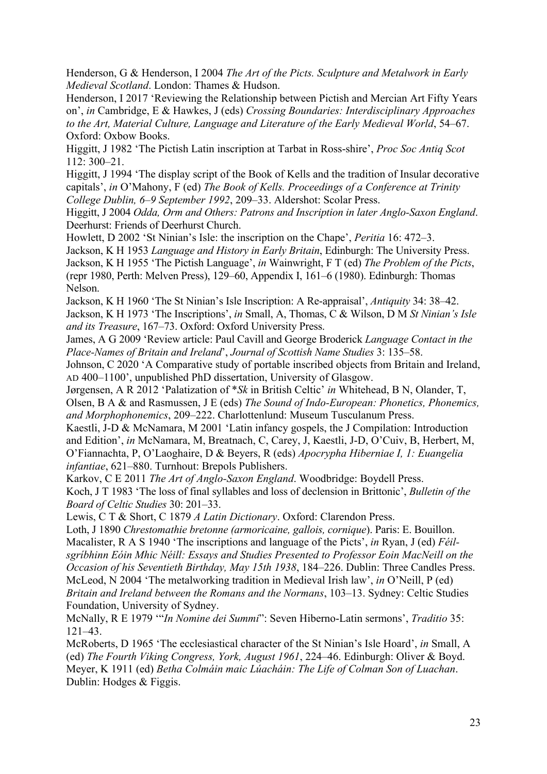Henderson, G & Henderson, I 2004 *The Art of the Picts. Sculpture and Metalwork in Early Medieval Scotland*. London: Thames & Hudson.

Henderson, I 2017 'Reviewing the Relationship between Pictish and Mercian Art Fifty Years on', *in* Cambridge, E & Hawkes, J (eds) *Crossing Boundaries: Interdisciplinary Approaches to the Art, Material Culture, Language and Literature of the Early Medieval World*, 54–67. Oxford: Oxbow Books.

Higgitt, J 1982 'The Pictish Latin inscription at Tarbat in Ross-shire', *Proc Soc Antiq Scot* 112: 300–21.

Higgitt, J 1994 'The display script of the Book of Kells and the tradition of Insular decorative capitals', *in* O'Mahony, F (ed) *The Book of Kells. Proceedings of a Conference at Trinity College Dublin, 6–9 September 1992*, 209–33. Aldershot: Scolar Press.

Higgitt, J 2004 *Odda, Orm and Others: Patrons and Inscription in later Anglo-Saxon England*. Deerhurst: Friends of Deerhurst Church.

Howlett, D 2002 'St Ninian's Isle: the inscription on the Chape', *Peritia* 16: 472–3.

Jackson, K H 1953 *Language and History in Early Britain*, Edinburgh: The University Press. Jackson, K H 1955 'The Pictish Language', *in* Wainwright, F T (ed) *The Problem of the Picts*,

(repr 1980, Perth: Melven Press), 129–60, Appendix I, 161–6 (1980). Edinburgh: Thomas Nelson.

Jackson, K H 1960 'The St Ninian's Isle Inscription: A Re-appraisal', *Antiquity* 34: 38–42. Jackson, K H 1973 'The Inscriptions', *in* Small, A, Thomas, C & Wilson, D M *St Ninian's Isle and its Treasure*, 167–73. Oxford: Oxford University Press.

James, A G 2009 'Review article: Paul Cavill and George Broderick *Language Contact in the Place-Names of Britain and Ireland*', *Journal of Scottish Name Studies* 3: 135–58.

Johnson, C 2020 'A Comparative study of portable inscribed objects from Britain and Ireland, AD 400–1100', unpublished PhD dissertation, University of Glasgow.

Jørgensen, A R 2012 'Palatization of \**Sk* in British Celtic' *in* Whitehead, B N, Olander, T, Olsen, B A & and Rasmussen, J E (eds) *The Sound of Indo-European: Phonetics, Phonemics, and Morphophonemics*, 209–222. Charlottenlund: Museum Tusculanum Press.

Kaestli, J-D & McNamara, M 2001 'Latin infancy gospels, the J Compilation: Introduction and Edition', *in* McNamara, M, Breatnach, C, Carey, J, Kaestli, J-D, O'Cuiv, B, Herbert, M, O'Fiannachta, P, O'Laoghaire, D & Beyers, R (eds) *Apocrypha Hiberniae I, 1: Euangelia infantiae*, 621–880. Turnhout: Brepols Publishers.

Karkov, C E 2011 *The Art of Anglo-Saxon England*. Woodbridge: Boydell Press. Koch, J T 1983 'The loss of final syllables and loss of declension in Brittonic', *Bulletin of the Board of Celtic Studies* 30: 201–33.

Lewis, C T & Short, C 1879 *A Latin Dictionary*. Oxford: Clarendon Press.

Loth, J 1890 *Chrestomathie bretonne (armoricaine, gallois, cornique*). Paris: E. Bouillon. Macalister, R A S 1940 'The inscriptions and language of the Picts', *in* Ryan, J (ed) *Féilsgríbhinn Eóin Mhic Néill: Essays and Studies Presented to Professor Eoin MacNeill on the Occasion of his Seventieth Birthday, May 15th 1938*, 184–226. Dublin: Three Candles Press. McLeod, N 2004 'The metalworking tradition in Medieval Irish law', *in* O'Neill, P (ed) *Britain and Ireland between the Romans and the Normans*, 103–13. Sydney: Celtic Studies Foundation, University of Sydney.

McNally, R E 1979 '"*In Nomine dei Summi*": Seven Hiberno-Latin sermons', *Traditio* 35: 121–43.

McRoberts, D 1965 'The ecclesiastical character of the St Ninian's Isle Hoard', *in* Small, A (ed) *The Fourth Viking Congress, York, August 1961*, 224–46. Edinburgh: Oliver & Boyd. Meyer, K 1911 (ed) *Betha Colmáin maic Lúacháin: The Life of Colman Son of Luachan*. Dublin: Hodges & Figgis.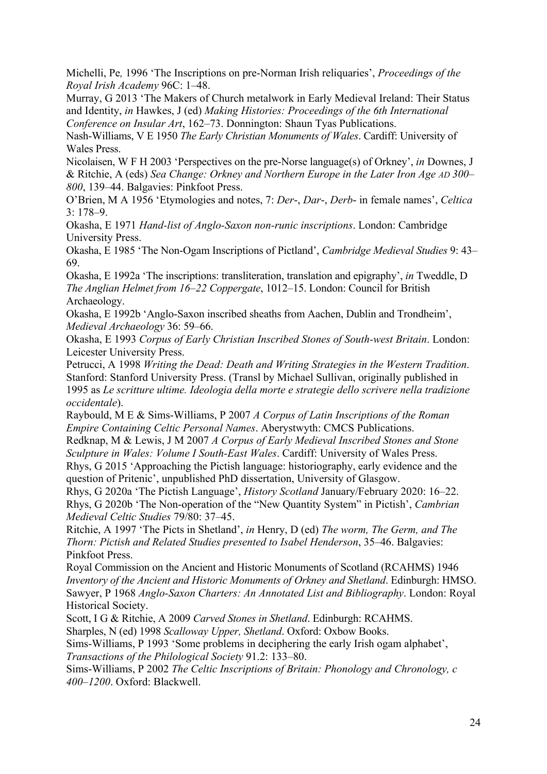Michelli, Pe*,* 1996 'The Inscriptions on pre-Norman Irish reliquaries', *Proceedings of the Royal Irish Academy* 96C: 1–48.

Murray, G 2013 'The Makers of Church metalwork in Early Medieval Ireland: Their Status and Identity, *in* Hawkes, J (ed) *Making Histories: Proceedings of the 6th International Conference on Insular Art*, 162–73. Donnington: Shaun Tyas Publications.

Nash-Williams, V E 1950 *The Early Christian Monuments of Wales*. Cardiff: University of Wales Press.

Nicolaisen, W F H 2003 'Perspectives on the pre-Norse language(s) of Orkney', *in* Downes, J & Ritchie, A (eds) *Sea Change: Orkney and Northern Europe in the Later Iron Age AD 300– 800*, 139–44. Balgavies: Pinkfoot Press.

O'Brien, M A 1956 'Etymologies and notes, 7: *Der*-, *Dar*-, *Derb*- in female names', *Celtica* 3: 178–9.

Okasha, E 1971 *Hand-list of Anglo-Saxon non-runic inscriptions*. London: Cambridge University Press.

Okasha, E 1985 'The Non-Ogam Inscriptions of Pictland', *Cambridge Medieval Studies* 9: 43– 69.

Okasha, E 1992a 'The inscriptions: transliteration, translation and epigraphy', *in* Tweddle, D *The Anglian Helmet from 16–22 Coppergate*, 1012–15. London: Council for British Archaeology.

Okasha, E 1992b 'Anglo-Saxon inscribed sheaths from Aachen, Dublin and Trondheim', *Medieval Archaeology* 36: 59–66.

Okasha, E 1993 *Corpus of Early Christian Inscribed Stones of South-west Britain*. London: Leicester University Press.

Petrucci, A 1998 *Writing the Dead: Death and Writing Strategies in the Western Tradition*. Stanford: Stanford University Press. (Transl by Michael Sullivan, originally published in 1995 as *Le scritture ultime. Ideologia della morte e strategie dello scrivere nella tradizione occidentale*).

Raybould, M E & Sims-Williams, P 2007 *A Corpus of Latin Inscriptions of the Roman Empire Containing Celtic Personal Names*. Aberystwyth: CMCS Publications.

Redknap, M & Lewis, J M 2007 *A Corpus of Early Medieval Inscribed Stones and Stone Sculpture in Wales: Volume I South-East Wales*. Cardiff: University of Wales Press.

Rhys, G 2015 'Approaching the Pictish language: historiography, early evidence and the question of Pritenic', unpublished PhD dissertation, University of Glasgow.

Rhys, G 2020a 'The Pictish Language', *History Scotland* January/February 2020: 16–22. Rhys, G 2020b 'The Non-operation of the "New Quantity System" in Pictish', *Cambrian Medieval Celtic Studies* 79/80: 37–45.

Ritchie, A 1997 'The Picts in Shetland', *in* Henry, D (ed) *The worm, The Germ, and The Thorn: Pictish and Related Studies presented to Isabel Henderson*, 35–46. Balgavies: Pinkfoot Press.

Royal Commission on the Ancient and Historic Monuments of Scotland (RCAHMS) 1946 *Inventory of the Ancient and Historic Monuments of Orkney and Shetland*. Edinburgh: HMSO. Sawyer, P 1968 *Anglo-Saxon Charters: An Annotated List and Bibliography*. London: Royal Historical Society.

Scott, I G & Ritchie, A 2009 *Carved Stones in Shetland*. Edinburgh: RCAHMS.

Sharples, N (ed) 1998 *Scalloway Upper, Shetland*. Oxford: Oxbow Books.

Sims-Williams, P 1993 'Some problems in deciphering the early Irish ogam alphabet', *Transactions of the Philological Society* 91.2: 133–80.

Sims-Williams, P 2002 *The Celtic Inscriptions of Britain: Phonology and Chronology, c 400–1200*. Oxford: Blackwell.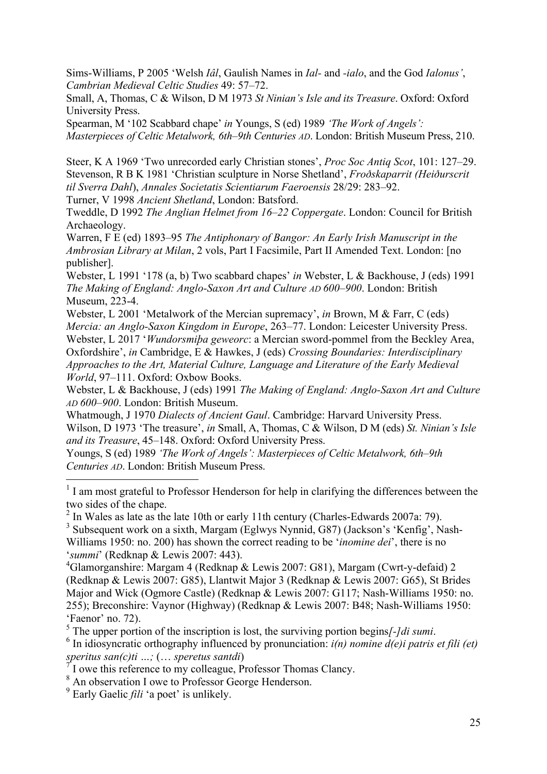Sims-Williams, P 2005 'Welsh *Iâl*, Gaulish Names in *Ial-* and *-ialo*, and the God *Ialonus'*, *Cambrian Medieval Celtic Studies* 49: 57–72.

Small, A, Thomas, C & Wilson, D M 1973 *St Ninian's Isle and its Treasure*. Oxford: Oxford University Press.

Spearman, M '102 Scabbard chape' *in* Youngs, S (ed) 1989 *'The Work of Angels': Masterpieces of Celtic Metalwork, 6th–9th Centuries AD*. London: British Museum Press, 210.

Steer, K A 1969 'Two unrecorded early Christian stones', *Proc Soc Antiq Scot*, 101: 127–29. Stevenson, R B K 1981 'Christian sculpture in Norse Shetland', *Froðskaparrit (Heiðurscrit til Sverra Dahl*), *Annales Societatis Scientiarum Faeroensis* 28/29: 283–92.

Turner, V 1998 *Ancient Shetland*, London: Batsford.

Tweddle, D 1992 *The Anglian Helmet from 16–22 Coppergate*. London: Council for British Archaeology.

Warren, F E (ed) 1893–95 *The Antiphonary of Bangor: An Early Irish Manuscript in the Ambrosian Library at Milan*, 2 vols, Part I Facsimile, Part II Amended Text. London: [no publisher].

Webster, L 1991 '178 (a, b) Two scabbard chapes' *in* Webster, L & Backhouse, J (eds) 1991 *The Making of England: Anglo-Saxon Art and Culture AD 600–900*. London: British Museum, 223-4.

Webster, L 2001 'Metalwork of the Mercian supremacy', *in* Brown, M & Farr, C (eds) *Mercia: an Anglo-Saxon Kingdom in Europe*, 263–77. London: Leicester University Press. Webster, L 2017 '*Wundorsmiþa geweorc*: a Mercian sword-pommel from the Beckley Area, Oxfordshire', *in* Cambridge, E & Hawkes, J (eds) *Crossing Boundaries: Interdisciplinary Approaches to the Art, Material Culture, Language and Literature of the Early Medieval World*, 97–111. Oxford: Oxbow Books.

Webster, L & Backhouse, J (eds) 1991 *The Making of England: Anglo-Saxon Art and Culture AD 600–900*. London: British Museum.

Whatmough, J 1970 *Dialects of Ancient Gaul*. Cambridge: Harvard University Press. Wilson, D 1973 'The treasure', *in* Small, A, Thomas, C & Wilson, D M (eds) *St. Ninian's Isle and its Treasure*, 45–148. Oxford: Oxford University Press.

Youngs, S (ed) 1989 *'The Work of Angels': Masterpieces of Celtic Metalwork, 6th–9th Centuries AD*. London: British Museum Press.

<sup>1</sup> I am most grateful to Professor Henderson for help in clarifying the differences between the two sides of the chape.

 $2 \text{ In Wales as late as the late 10th or early 11th century (Charles-Edwards 2007a: 79).}$ 

<sup>3</sup> Subsequent work on a sixth, Margam (Eglwys Nynnid, G87) (Jackson's 'Kenfig', Nash-Williams 1950: no. 200) has shown the correct reading to be '*inomine dei*', there is no '*summi*' (Redknap & Lewis 2007: 443).

4 Glamorganshire: Margam 4 (Redknap & Lewis 2007: G81), Margam (Cwrt-y-defaid) 2 (Redknap & Lewis 2007: G85), Llantwit Major 3 (Redknap & Lewis 2007: G65), St Brides Major and Wick (Ogmore Castle) (Redknap & Lewis 2007: G117; Nash-Williams 1950: no. 255); Breconshire: Vaynor (Highway) (Redknap & Lewis 2007: B48; Nash-Williams 1950: 'Faenor' no. 72).

<sup>5</sup> The upper portion of the inscription is lost, the surviving portion begins[-]di sumi.  $^{6}$  In idiography influenced by propuncition:  $i(n)$  porting  $d(c)$  i natrice

<sup>6</sup> In idiosyncratic orthography influenced by pronunciation:  $i(n)$  *nomine d(e)i patris et fili (et) speritus san(c)ti …;* (… *speretus santdi*)

7 I owe this reference to my colleague, Professor Thomas Clancy.

<sup>8</sup> An observation I owe to Professor George Henderson.

<sup>9</sup> Early Gaelic *fili* 'a poet' is unlikely.